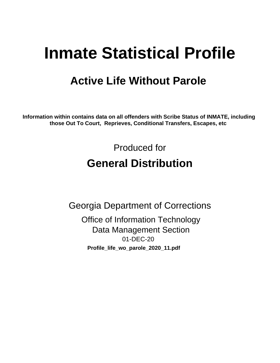# **Inmate Statistical Profile**

## **Active Life Without Parole**

Information within contains data on all offenders with Scribe Status of INMATE, including those Out To Court, Reprieves, Conditional Transfers, Escapes, etc

> Produced for **General Distribution**

**Georgia Department of Corrections Office of Information Technology Data Management Section** 01-DEC-20 Profile\_life\_wo\_parole\_2020\_11.pdf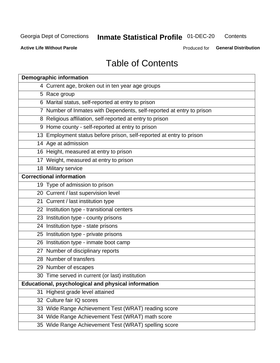## **Inmate Statistical Profile 01-DEC-20**

Contents

**Active Life Without Parole** 

Produced for General Distribution

## **Table of Contents**

|    | <b>Demographic information</b>                                        |
|----|-----------------------------------------------------------------------|
|    | 4 Current age, broken out in ten year age groups                      |
|    | 5 Race group                                                          |
|    | 6 Marital status, self-reported at entry to prison                    |
|    | 7 Number of Inmates with Dependents, self-reported at entry to prison |
|    | 8 Religious affiliation, self-reported at entry to prison             |
|    | 9 Home county - self-reported at entry to prison                      |
|    | 13 Employment status before prison, self-reported at entry to prison  |
|    | 14 Age at admission                                                   |
|    | 16 Height, measured at entry to prison                                |
|    | 17 Weight, measured at entry to prison                                |
|    | 18 Military service                                                   |
|    | <b>Correctional information</b>                                       |
|    | 19 Type of admission to prison                                        |
|    | 20 Current / last supervision level                                   |
|    | 21 Current / last institution type                                    |
|    | 22 Institution type - transitional centers                            |
|    | 23 Institution type - county prisons                                  |
|    | 24 Institution type - state prisons                                   |
|    | 25 Institution type - private prisons                                 |
|    | 26 Institution type - inmate boot camp                                |
|    | 27 Number of disciplinary reports                                     |
|    | 28 Number of transfers                                                |
|    | 29 Number of escapes                                                  |
|    | 30 Time served in current (or last) institution                       |
|    | Educational, psychological and physical information                   |
| 31 | Highest grade level attained                                          |
|    | 32 Culture fair IQ scores                                             |
|    | 33 Wide Range Achievement Test (WRAT) reading score                   |
|    | 34 Wide Range Achievement Test (WRAT) math score                      |
|    | 35 Wide Range Achievement Test (WRAT) spelling score                  |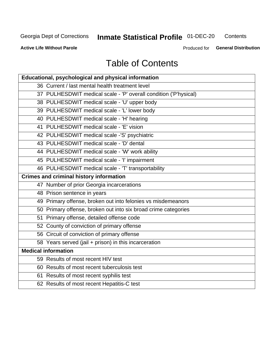## **Inmate Statistical Profile 01-DEC-20**

Contents

**Active Life Without Parole** 

Produced for General Distribution

## **Table of Contents**

| Educational, psychological and physical information              |
|------------------------------------------------------------------|
| 36 Current / last mental health treatment level                  |
| 37 PULHESDWIT medical scale - 'P' overall condition ('P'hysical) |
| 38 PULHESDWIT medical scale - 'U' upper body                     |
| 39 PULHESDWIT medical scale - 'L' lower body                     |
| 40 PULHESDWIT medical scale - 'H' hearing                        |
| 41 PULHESDWIT medical scale - 'E' vision                         |
| 42 PULHESDWIT medical scale -'S' psychiatric                     |
| 43 PULHESDWIT medical scale - 'D' dental                         |
| 44 PULHESDWIT medical scale - 'W' work ability                   |
| 45 PULHESDWIT medical scale - 'I' impairment                     |
| 46 PULHESDWIT medical scale - 'T' transportability               |
| <b>Crimes and criminal history information</b>                   |
| 47 Number of prior Georgia incarcerations                        |
| 48 Prison sentence in years                                      |
| 49 Primary offense, broken out into felonies vs misdemeanors     |
| 50 Primary offense, broken out into six broad crime categories   |
| 51 Primary offense, detailed offense code                        |
| 52 County of conviction of primary offense                       |
| 56 Circuit of conviction of primary offense                      |
| 58 Years served (jail + prison) in this incarceration            |
| <b>Medical information</b>                                       |
| 59 Results of most recent HIV test                               |
| 60 Results of most recent tuberculosis test                      |
| 61 Results of most recent syphilis test                          |
| 62 Results of most recent Hepatitis-C test                       |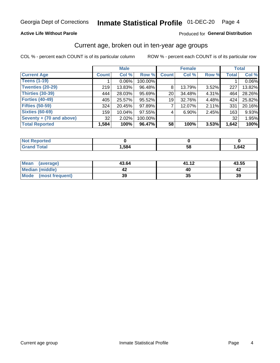#### **Active Life Without Parole**

#### Produced for General Distribution

### Current age, broken out in ten-year age groups

COL % - percent each COUNT is of its particular column

|                          |              | <b>Male</b> |         | <b>Female</b>   |        |       | <b>Total</b> |        |
|--------------------------|--------------|-------------|---------|-----------------|--------|-------|--------------|--------|
| <b>Current Age</b>       | <b>Count</b> | Col %       | Row %   | <b>Count</b>    | Col %  | Row % | <b>Total</b> | Col %  |
| <b>Teens (1-19)</b>      |              | $0.06\%$    | 100.00% |                 |        |       |              | 0.06%  |
| <b>Twenties (20-29)</b>  | 219          | 13.83%      | 96.48%  | 8               | 13.79% | 3.52% | 227          | 13.82% |
| Thirties (30-39)         | 444          | 28.03%      | 95.69%  | 20 <sub>1</sub> | 34.48% | 4.31% | 464          | 28.26% |
| <b>Forties (40-49)</b>   | 405          | 25.57%      | 95.52%  | 19              | 32.76% | 4.48% | 424          | 25.82% |
| <b>Fifties (50-59)</b>   | 324          | 20.45%      | 97.89%  |                 | 12.07% | 2.11% | 331          | 20.16% |
| <b>Sixties (60-69)</b>   | 159          | 10.04%      | 97.55%  | 4               | 6.90%  | 2.45% | 163          | 9.93%  |
| Seventy + (70 and above) | 32           | 2.02%       | 100.00% |                 |        |       | 32           | 1.95%  |
| <b>Total Reported</b>    | 1,584        | 100%        | 96.47%  | 58              | 100%   | 3.53% | 1,642        | 100%   |

| <b><i>College Address</i></b><br>m. |      |               |      |
|-------------------------------------|------|---------------|------|
| $f \wedge f \wedge f$               | ,584 | co<br>∼.<br>◡ | ,642 |

| Mean<br>(average)    | 43.64 | 41.12 | 43.55 |
|----------------------|-------|-------|-------|
| Median (middle)      |       |       |       |
| Mode (most frequent) | 39    | JJ    | 39    |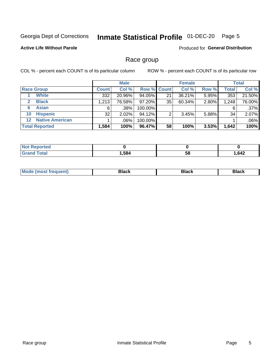#### Inmate Statistical Profile 01-DEC-20 Page 5

#### **Active Life Without Parole**

Produced for General Distribution

### Race group

COL % - percent each COUNT is of its particular column

|                       |                        |              | <b>Male</b> |           |                    | <b>Female</b> |       |       | <b>Total</b> |  |
|-----------------------|------------------------|--------------|-------------|-----------|--------------------|---------------|-------|-------|--------------|--|
|                       | <b>Race Group</b>      | <b>Count</b> | Col %       |           | <b>Row % Count</b> | Col %         | Row % | Total | Col %        |  |
|                       | <b>White</b>           | 332          | 20.96%      | 94.05%    | 21                 | 36.21%        | 5.95% | 353   | 21.50%       |  |
| $\mathbf{2}$          | <b>Black</b>           | 1,213        | 76.58%      | $97.20\%$ | 35                 | 60.34%        | 2.80% | 1,248 | 76.00%       |  |
| 6                     | <b>Asian</b>           | 6            | .38%        | 100.00%   |                    |               |       | 6     | .37%         |  |
| 10                    | <b>Hispanic</b>        | 32           | 2.02%       | 94.12%    | ◠                  | 3.45%         | 5.88% | 34    | 2.07%        |  |
| $12 \,$               | <b>Native American</b> |              | .06%        | 100.00%   |                    |               |       |       | .06%         |  |
| <b>Total Reported</b> |                        | 1,584        | 100%        | 96.47%    | 58                 | 100%          | 3.53% | 1,642 | 100%         |  |

| neo    |      |    |      |
|--------|------|----|------|
| أحقصته | .584 | 58 | ,642 |

| M |  |  |
|---|--|--|
|   |  |  |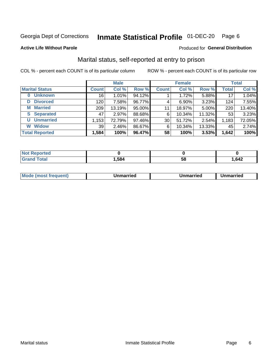#### Inmate Statistical Profile 01-DEC-20 Page 6

**Active Life Without Parole** 

#### Produced for General Distribution

## Marital status, self-reported at entry to prison

COL % - percent each COUNT is of its particular column

|                            | <b>Male</b>  |        |        |              | <b>Female</b> | <b>Total</b> |              |        |
|----------------------------|--------------|--------|--------|--------------|---------------|--------------|--------------|--------|
| <b>Marital Status</b>      | <b>Count</b> | Col %  | Row %  | <b>Count</b> | Col %         | Row %        | <b>Total</b> | Col %  |
| <b>Unknown</b><br>$\bf{0}$ | 16           | 1.01%  | 94.12% |              | 1.72%         | 5.88%        | 17           | 1.04%  |
| <b>Divorced</b><br>D       | 120          | 7.58%  | 96.77% | 4            | $6.90\%$      | 3.23%        | 124          | 7.55%  |
| <b>Married</b><br>М        | 209          | 13.19% | 95.00% | 11           | 18.97%        | 5.00%        | 220          | 13.40% |
| <b>Separated</b><br>S.     | 47           | 2.97%  | 88.68% | 6            | 10.34%        | 11.32%       | 53           | 3.23%  |
| <b>Unmarried</b><br>U      | 1,153        | 72.79% | 97.46% | 30           | 51.72%        | 2.54%        | 1,183        | 72.05% |
| <b>Widow</b><br>W          | 39           | 2.46%  | 86.67% | 6            | 10.34%        | 13.33%       | 45           | 2.74%  |
| <b>Total Reported</b>      | 1,584        | 100%   | 96.47% | 58           | 100%          | 3.53%        | 1,642        | 100%   |

| <b>Not Reported</b><br>. <b>.</b> |      |    |      |
|-----------------------------------|------|----|------|
| Total                             | ,584 | วด | .642 |

|--|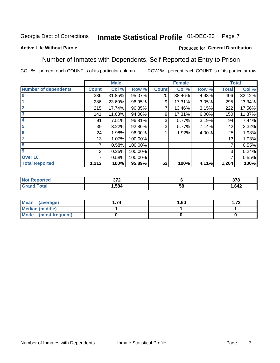#### Inmate Statistical Profile 01-DEC-20 Page 7

#### **Active Life Without Parole**

#### Produced for General Distribution

### Number of Inmates with Dependents, Self-Reported at Entry to Prison

COL % - percent each COUNT is of its particular column

|                             |              | <b>Male</b> |         |              | <b>Female</b> |       |              | <b>Total</b> |
|-----------------------------|--------------|-------------|---------|--------------|---------------|-------|--------------|--------------|
| <b>Number of dependents</b> | <b>Count</b> | Col %       | Row %   | <b>Count</b> | Col %         | Row % | <b>Total</b> | Col %        |
| $\bf{0}$                    | 386          | 31.85%      | 95.07%  | 20           | 38.46%        | 4.93% | 406          | 32.12%       |
|                             | 286          | 23.60%      | 96.95%  | 9            | 17.31%        | 3.05% | 295          | 23.34%       |
| $\overline{2}$              | 215          | 17.74%      | 96.85%  |              | 13.46%        | 3.15% | 222          | 17.56%       |
| 3                           | 141          | 11.63%      | 94.00%  | 9            | 17.31%        | 6.00% | 150          | 11.87%       |
| 4                           | 91           | 7.51%       | 96.81%  | 3            | 5.77%         | 3.19% | 94           | 7.44%        |
| 5                           | 39           | 3.22%       | 92.86%  | 3            | 5.77%         | 7.14% | 42           | 3.32%        |
| 6                           | 24           | 1.98%       | 96.00%  |              | 1.92%         | 4.00% | 25           | 1.98%        |
| 7                           | 13           | 1.07%       | 100.00% |              |               |       | 13           | 1.03%        |
| 8                           | 7            | 0.58%       | 100.00% |              |               |       | 7            | 0.55%        |
| 9                           | 3            | 0.25%       | 100.00% |              |               |       | 3            | 0.24%        |
| Over <sub>10</sub>          | 7            | 0.58%       | 100.00% |              |               |       | 7            | 0.55%        |
| <b>Total Reported</b>       | 1,212        | 100%        | 95.89%  | 52           | 100%          | 4.11% | 1,264        | 100%         |

| ^7^<br>$\sim$ |          | 270<br>ა / o |
|---------------|----------|--------------|
| .584          | . .<br>◡ | ,642         |

| <b>Mean</b><br>(average) | 1.60 | - 72<br>I. I J |
|--------------------------|------|----------------|
| Median (middle)          |      |                |
| Mode<br>(most frequent)  |      |                |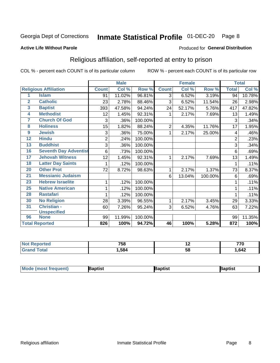#### Inmate Statistical Profile 01-DEC-20 Page 8

#### **Active Life Without Parole**

#### Produced for General Distribution

### Religious affiliation, self-reported at entry to prison

COL % - percent each COUNT is of its particular column

|                         |                              |                | <b>Male</b> |         |                | <b>Female</b> |         |                | <b>Total</b> |
|-------------------------|------------------------------|----------------|-------------|---------|----------------|---------------|---------|----------------|--------------|
|                         | <b>Religious Affiliation</b> | <b>Count</b>   | Col %       | Row %   | <b>Count</b>   | Col %         | Row %   | <b>Total</b>   | Col %        |
| 1                       | <b>Islam</b>                 | 91             | 11.02%      | 96.81%  | 3              | 6.52%         | 3.19%   | 94             | 10.78%       |
| $\overline{\mathbf{2}}$ | <b>Catholic</b>              | 23             | 2.78%       | 88.46%  | 3              | 6.52%         | 11.54%  | 26             | 2.98%        |
| $\overline{3}$          | <b>Baptist</b>               | 393            | 47.58%      | 94.24%  | 24             | 52.17%        | 5.76%   | 417            | 47.82%       |
| 4                       | <b>Methodist</b>             | 12             | 1.45%       | 92.31%  |                | 2.17%         | 7.69%   | 13             | 1.49%        |
| 7                       | <b>Church Of God</b>         | 3              | .36%        | 100.00% |                |               |         | 3              | .34%         |
| 8                       | <b>Holiness</b>              | 15             | 1.82%       | 88.24%  | $\overline{2}$ | 4.35%         | 11.76%  | 17             | 1.95%        |
| 9                       | <b>Jewish</b>                | 3              | .36%        | 75.00%  | 1              | 2.17%         | 25.00%  | 4              | .46%         |
| $\overline{12}$         | <b>Hindu</b>                 | $\overline{2}$ | .24%        | 100.00% |                |               |         | $\overline{2}$ | .23%         |
| 13                      | <b>Buddhist</b>              | 3              | .36%        | 100.00% |                |               |         | 3              | .34%         |
| 16                      | <b>Seventh Day Adventist</b> | 6              | .73%        | 100.00% |                |               |         | 6              | .69%         |
| 17                      | <b>Jehovah Witness</b>       | 12             | 1.45%       | 92.31%  | 1              | 2.17%         | 7.69%   | 13             | 1.49%        |
| 18                      | <b>Latter Day Saints</b>     | 1              | .12%        | 100.00% |                |               |         | 1              | .11%         |
| 20                      | <b>Other Prot</b>            | 72             | 8.72%       | 98.63%  | 1              | 2.17%         | 1.37%   | 73             | 8.37%        |
| 21                      | <b>Messianic Judaism</b>     |                |             |         | 6              | 13.04%        | 100.00% | 6              | .69%         |
| 23                      | <b>Hebrew Israelite</b>      | 1              | .12%        | 100.00% |                |               |         |                | .11%         |
| 25                      | <b>Native American</b>       | 1              | .12%        | 100.00% |                |               |         |                | .11%         |
| 28                      | <b>Rastafari</b>             |                | .12%        | 100.00% |                |               |         |                | .11%         |
| 30                      | <b>No Religion</b>           | 28             | 3.39%       | 96.55%  | 1              | 2.17%         | 3.45%   | 29             | 3.33%        |
| 31                      | Christian -                  | 60             | 7.26%       | 95.24%  | $\mathbf{3}$   | 6.52%         | 4.76%   | 63             | 7.22%        |
|                         | <b>Unspecified</b>           |                |             |         |                |               |         |                |              |
| 96                      | <b>None</b>                  | 99             | 11.99%      | 100.00% |                |               |         | 99             | 11.35%       |
|                         | <b>Total Reported</b>        | 826            | 100%        | 94.72%  | 46             | 100%          | 5.28%   | 872            | 100%         |

| τeα | $- - -$<br>סכי | . . | $- - -$ |
|-----|----------------|-----|---------|
|     | .,584          | ວເ  | ,642    |

| <b>Mode (most frequent)</b> | aptist | Baptist | Baptist |
|-----------------------------|--------|---------|---------|
|-----------------------------|--------|---------|---------|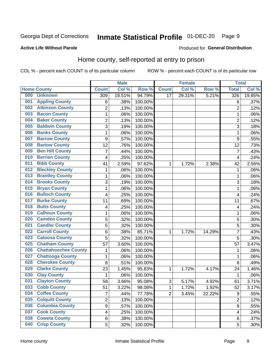#### Inmate Statistical Profile 01-DEC-20 Page 9

#### **Active Life Without Parole**

#### **Produced for General Distribution**

## Home county, self-reported at entry to prison

COL % - percent each COUNT is of its particular column

|     |                             |                | <b>Male</b> |                  |                 | <b>Female</b> |        | <b>Total</b>   |        |
|-----|-----------------------------|----------------|-------------|------------------|-----------------|---------------|--------|----------------|--------|
|     | <b>Home County</b>          | <b>Count</b>   | Col %       | Row <sup>%</sup> | <b>Count</b>    | Col %         | Row %  | <b>Total</b>   | Col %  |
| 000 | <b>Unknown</b>              | 309            | 19.51%      | 94.79%           | $\overline{17}$ | 29.31%        | 5.21%  | 326            | 19.85% |
| 001 | <b>Appling County</b>       | 6              | .38%        | 100.00%          |                 |               |        | $\,6$          | .37%   |
| 002 | <b>Atkinson County</b>      | $\overline{2}$ | .13%        | 100.00%          |                 |               |        | $\overline{2}$ | .12%   |
| 003 | <b>Bacon County</b>         | 1              | .06%        | 100.00%          |                 |               |        | 1              | .06%   |
| 004 | <b>Baker County</b>         | $\overline{2}$ | .13%        | 100.00%          |                 |               |        | $\overline{2}$ | .12%   |
| 005 | <b>Baldwin County</b>       | 3              | .19%        | 100.00%          |                 |               |        | 3              | .18%   |
| 006 | <b>Banks County</b>         | $\mathbf 1$    | .06%        | 100.00%          |                 |               |        | 1              | .06%   |
| 007 | <b>Barrow County</b>        | 9              | .57%        | 100.00%          |                 |               |        | 9              | .55%   |
| 008 | <b>Bartow County</b>        | 12             | .76%        | 100.00%          |                 |               |        | 12             | .73%   |
| 009 | <b>Ben Hill County</b>      | 7              | .44%        | 100.00%          |                 |               |        | 7              | .43%   |
| 010 | <b>Berrien County</b>       | 4              | .25%        | 100.00%          |                 |               |        | 4              | .24%   |
| 011 | <b>Bibb County</b>          | 41             | 2.59%       | 97.62%           | 1               | 1.72%         | 2.38%  | 42             | 2.56%  |
| 012 | <b>Bleckley County</b>      | 1              | .06%        | 100.00%          |                 |               |        | 1              | .06%   |
| 013 | <b>Brantley County</b>      | $\mathbf 1$    | .06%        | 100.00%          |                 |               |        | 1              | .06%   |
| 014 | <b>Brooks County</b>        | 3              | .19%        | 100.00%          |                 |               |        | 3              | .18%   |
| 015 | <b>Bryan County</b>         | 1              | .06%        | 100.00%          |                 |               |        | 1              | .06%   |
| 016 | <b>Bulloch County</b>       | 4              | .25%        | 100.00%          |                 |               |        | 4              | .24%   |
| 017 | <b>Burke County</b>         | 11             | .69%        | 100.00%          |                 |               |        | 11             | .67%   |
| 018 | <b>Butts County</b>         | 4              | .25%        | 100.00%          |                 |               |        | 4              | .24%   |
| 019 | <b>Calhoun County</b>       | 1              | .06%        | 100.00%          |                 |               |        | 1              | .06%   |
| 020 | <b>Camden County</b>        | 5              | .32%        | 100.00%          |                 |               |        | 5              | .30%   |
| 021 | <b>Candler County</b>       | 5              | .32%        | 100.00%          |                 |               |        | 5              | .30%   |
| 022 | <b>Carroll County</b>       | 6              | .38%        | 85.71%           | 1               | 1.72%         | 14.29% | 7              | .43%   |
| 023 | <b>Catoosa County</b>       | 5              | .32%        | 100.00%          |                 |               |        | 5              | .30%   |
| 025 | <b>Chatham County</b>       | 57             | 3.60%       | 100.00%          |                 |               |        | 57             | 3.47%  |
| 026 | <b>Chattahoochee County</b> | 1              | .06%        | 100.00%          |                 |               |        | 1              | .06%   |
| 027 | <b>Chattooga County</b>     | $\mathbf 1$    | .06%        | 100.00%          |                 |               |        | 1              | .06%   |
| 028 | <b>Cherokee County</b>      | 8              | .51%        | 100.00%          |                 |               |        | 8              | .49%   |
| 029 | <b>Clarke County</b>        | 23             | 1.45%       | 95.83%           | 1               | 1.72%         | 4.17%  | 24             | 1.46%  |
| 030 | <b>Clay County</b>          | 1              | .06%        | 100.00%          |                 |               |        | 1              | .06%   |
| 031 | <b>Clayton County</b>       | 58             | 3.66%       | 95.08%           | 3               | 5.17%         | 4.92%  | 61             | 3.71%  |
| 033 | <b>Cobb County</b>          | 51             | 3.22%       | 98.08%           | 1               | 1.72%         | 1.92%  | 52             | 3.17%  |
| 034 | <b>Coffee County</b>        | $\overline{7}$ | .44%        | 77.78%           | $\overline{2}$  | 3.45%         | 22.22% | 9              | .55%   |
| 035 | <b>Colquitt County</b>      | $\overline{2}$ | .13%        | 100.00%          |                 |               |        | $\overline{2}$ | .12%   |
| 036 | <b>Columbia County</b>      | $\overline{9}$ | .57%        | 100.00%          |                 |               |        | $\mathsf g$    | .55%   |
| 037 | <b>Cook County</b>          | 4              | .25%        | 100.00%          |                 |               |        | 4              | .24%   |
| 038 | <b>Coweta County</b>        | 6              | .38%        | 100.00%          |                 |               |        | 6              | .37%   |
| 040 | <b>Crisp County</b>         | 5              | .32%        | 100.00%          |                 |               |        | 5              | .30%   |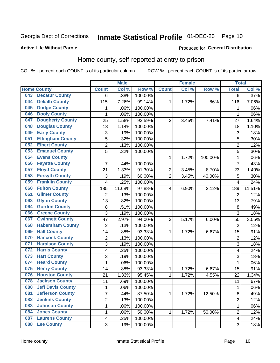## Inmate Statistical Profile 01-DEC-20 Page 10

Produced for General Distribution

#### **Active Life Without Parole**

### Home county, self-reported at entry to prison

COL % - percent each COUNT is of its particular column

|     |                          |                         | <b>Male</b> |         |                | <b>Female</b> |         | <b>Total</b>            |        |
|-----|--------------------------|-------------------------|-------------|---------|----------------|---------------|---------|-------------------------|--------|
|     | <b>Home County</b>       | <b>Count</b>            | Col %       | Row %   | <b>Count</b>   | Col %         | Row %   | <b>Total</b>            | Col %  |
| 043 | <b>Decatur County</b>    | 6                       | .38%        | 100.00% |                |               |         | 6                       | .37%   |
| 044 | <b>Dekalb County</b>     | 115                     | 7.26%       | 99.14%  | 1              | 1.72%         | .86%    | 116                     | 7.06%  |
| 045 | <b>Dodge County</b>      | 1                       | .06%        | 100.00% |                |               |         | 1                       | .06%   |
| 046 | <b>Dooly County</b>      | 1                       | .06%        | 100.00% |                |               |         | 1                       | .06%   |
| 047 | <b>Dougherty County</b>  | 25                      | 1.58%       | 92.59%  | $\overline{2}$ | 3.45%         | 7.41%   | 27                      | 1.64%  |
| 048 | <b>Douglas County</b>    | 18                      | 1.14%       | 100.00% |                |               |         | 18                      | 1.10%  |
| 049 | <b>Early County</b>      | 3                       | .19%        | 100.00% |                |               |         | 3                       | .18%   |
| 051 | <b>Effingham County</b>  | 5                       | .32%        | 100.00% |                |               |         | 5                       | .30%   |
| 052 | <b>Elbert County</b>     | $\overline{2}$          | .13%        | 100.00% |                |               |         | $\overline{2}$          | .12%   |
| 053 | <b>Emanuel County</b>    | 5                       | .32%        | 100.00% |                |               |         | 5                       | .30%   |
| 054 | <b>Evans County</b>      |                         |             |         | 1              | 1.72%         | 100.00% | 1                       | .06%   |
| 056 | <b>Fayette County</b>    | 7                       | .44%        | 100.00% |                |               |         | $\overline{7}$          | .43%   |
| 057 | <b>Floyd County</b>      | 21                      | 1.33%       | 91.30%  | $\overline{2}$ | 3.45%         | 8.70%   | 23                      | 1.40%  |
| 058 | <b>Forsyth County</b>    | 3                       | .19%        | 60.00%  | $\overline{2}$ | 3.45%         | 40.00%  | 5                       | .30%   |
| 059 | <b>Franklin County</b>   | 4                       | .25%        | 100.00% |                |               |         | $\overline{4}$          | .24%   |
| 060 | <b>Fulton County</b>     | 185                     | 11.68%      | 97.88%  | 4              | 6.90%         | 2.12%   | 189                     | 11.51% |
| 061 | <b>Gilmer County</b>     | $\overline{2}$          | .13%        | 100.00% |                |               |         | $\overline{2}$          | .12%   |
| 063 | <b>Glynn County</b>      | 13                      | .82%        | 100.00% |                |               |         | 13                      | .79%   |
| 064 | <b>Gordon County</b>     | 8                       | .51%        | 100.00% |                |               |         | 8                       | .49%   |
| 066 | <b>Greene County</b>     | 3                       | .19%        | 100.00% |                |               |         | 3                       | .18%   |
| 067 | <b>Gwinnett County</b>   | 47                      | 2.97%       | 94.00%  | 3              | 5.17%         | 6.00%   | 50                      | 3.05%  |
| 068 | <b>Habersham County</b>  | $\overline{2}$          | .13%        | 100.00% |                |               |         | $\overline{2}$          | .12%   |
| 069 | <b>Hall County</b>       | 14                      | .88%        | 93.33%  | 1              | 1.72%         | 6.67%   | 15                      | .91%   |
| 070 | <b>Hancock County</b>    | 2                       | .13%        | 100.00% |                |               |         | $\overline{2}$          | .12%   |
| 071 | <b>Haralson County</b>   | 3                       | .19%        | 100.00% |                |               |         | 3                       | .18%   |
| 072 | <b>Harris County</b>     | 4                       | .25%        | 100.00% |                |               |         | 4                       | .24%   |
| 073 | <b>Hart County</b>       | 3                       | .19%        | 100.00% |                |               |         | 3                       | .18%   |
| 074 | <b>Heard County</b>      | 1                       | .06%        | 100.00% |                |               |         | 1                       | .06%   |
| 075 | <b>Henry County</b>      | 14                      | .88%        | 93.33%  | 1              | 1.72%         | 6.67%   | 15                      | .91%   |
| 076 | <b>Houston County</b>    | 21                      | 1.33%       | 95.45%  | 1              | 1.72%         | 4.55%   | 22                      | 1.34%  |
| 078 | <b>Jackson County</b>    | 11                      | .69%        | 100.00% |                |               |         | 11                      | .67%   |
| 080 | <b>Jeff Davis County</b> | 1                       | .06%        | 100.00% |                |               |         | 1                       | .06%   |
| 081 | <b>Jefferson County</b>  | $\overline{7}$          | .44%        | 87.50%  | 1              | 1.72%         | 12.50%  | 8                       | .49%   |
| 082 | <b>Jenkins County</b>    | $\overline{2}$          | .13%        | 100.00% |                |               |         | $\overline{2}$          | .12%   |
| 083 | <b>Johnson County</b>    | $\mathbf{1}$            | .06%        | 100.00% |                |               |         | 1                       | .06%   |
| 084 | <b>Jones County</b>      | 1                       | .06%        | 50.00%  | 1              | 1.72%         | 50.00%  | $\overline{2}$          | .12%   |
| 087 | <b>Laurens County</b>    | $\overline{\mathbf{4}}$ | .25%        | 100.00% |                |               |         | $\overline{\mathbf{4}}$ | .24%   |
| 088 | <b>Lee County</b>        | 3                       | .19%        | 100.00% |                |               |         | $\overline{3}$          | .18%   |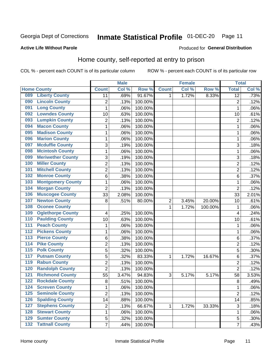## Inmate Statistical Profile 01-DEC-20 Page 11

#### **Active Life Without Parole**

#### Produced for General Distribution

## Home county, self-reported at entry to prison

COL % - percent each COUNT is of its particular column

|                  |                          |                         | <b>Male</b> |         |              | <b>Female</b> |         | <b>Total</b>    |         |
|------------------|--------------------------|-------------------------|-------------|---------|--------------|---------------|---------|-----------------|---------|
|                  | <b>Home County</b>       | <b>Count</b>            | Col %       | Row %   | <b>Count</b> | Col %         | Row %   | <b>Total</b>    | Col %   |
| 089              | <b>Liberty County</b>    | 11                      | .69%        | 91.67%  | 1            | 1.72%         | 8.33%   | $\overline{12}$ | .73%    |
| 090              | <b>Lincoln County</b>    | $\overline{2}$          | .13%        | 100.00% |              |               |         | $\overline{2}$  | .12%    |
| 091              | <b>Long County</b>       | $\mathbf{1}$            | .06%        | 100.00% |              |               |         | 1               | .06%    |
| 092              | <b>Lowndes County</b>    | 10                      | .63%        | 100.00% |              |               |         | 10              | .61%    |
| 093              | <b>Lumpkin County</b>    | $\overline{c}$          | .13%        | 100.00% |              |               |         | $\overline{2}$  | .12%    |
| 094              | <b>Macon County</b>      | $\mathbf 1$             | .06%        | 100.00% |              |               |         | 1               | .06%    |
| 095              | <b>Madison County</b>    | $\mathbf 1$             | .06%        | 100.00% |              |               |         | 1               | .06%    |
| 096              | <b>Marion County</b>     | $\mathbf{1}$            | .06%        | 100.00% |              |               |         | 1               | .06%    |
| 097              | <b>Mcduffie County</b>   | 3                       | .19%        | 100.00% |              |               |         | 3               | .18%    |
| 098              | <b>Mcintosh County</b>   | $\mathbf 1$             | .06%        | 100.00% |              |               |         | 1               | .06%    |
| 099              | <b>Meriwether County</b> | 3                       | .19%        | 100.00% |              |               |         | 3               | .18%    |
| 100              | <b>Miller County</b>     | $\overline{2}$          | .13%        | 100.00% |              |               |         | $\overline{2}$  | .12%    |
| 101              | <b>Mitchell County</b>   | $\overline{c}$          | .13%        | 100.00% |              |               |         | $\overline{2}$  | .12%    |
| 102              | <b>Monroe County</b>     | 6                       | .38%        | 100.00% |              |               |         | 6               | .37%    |
| 103              | <b>Montgomery County</b> | $\mathbf 1$             | .06%        | 100.00% |              |               |         | 1               | .06%    |
| 104              | <b>Morgan County</b>     | $\overline{2}$          | .13%        | 100.00% |              |               |         | $\overline{2}$  | .12%    |
| 106              | <b>Muscogee County</b>   | 33                      | 2.08%       | 100.00% |              |               |         | 33              | 2.01%   |
| 107              | <b>Newton County</b>     | 8                       | .51%        | 80.00%  | 2            | 3.45%         | 20.00%  | 10              | .61%    |
| 108              | <b>Oconee County</b>     |                         |             |         | 1            | 1.72%         | 100.00% | 1               | .06%    |
| 109              | <b>Oglethorpe County</b> | 4                       | .25%        | 100.00% |              |               |         | $\overline{4}$  | .24%    |
| 110              | <b>Paulding County</b>   | 10                      | .63%        | 100.00% |              |               |         | 10              | .61%    |
| $\overline{111}$ | <b>Peach County</b>      | $\mathbf 1$             | .06%        | 100.00% |              |               |         | 1               | .06%    |
| $\overline{112}$ | <b>Pickens County</b>    | $\mathbf 1$             | .06%        | 100.00% |              |               |         | 1               | .06%    |
| 113              | <b>Pierce County</b>     | 6                       | .38%        | 100.00% |              |               |         | 6               | .37%    |
| 114              | <b>Pike County</b>       | $\overline{2}$          | .13%        | 100.00% |              |               |         | $\overline{2}$  | .12%    |
| $\overline{115}$ | <b>Polk County</b>       | 5                       | .32%        | 100.00% |              |               |         | 5               | .30%    |
| 117              | <b>Putnam County</b>     | $\overline{5}$          | .32%        | 83.33%  | 1            | 1.72%         | 16.67%  | 6               | .37%    |
| 119              | <b>Rabun County</b>      | $\overline{c}$          | .13%        | 100.00% |              |               |         | $\overline{2}$  | .12%    |
| 120              | <b>Randolph County</b>   | $\overline{2}$          | .13%        | 100.00% |              |               |         | $\overline{2}$  | .12%    |
| 121              | <b>Richmond County</b>   | 55                      | 3.47%       | 94.83%  | 3            | 5.17%         | 5.17%   | 58              | 3.53%   |
| 122              | <b>Rockdale County</b>   | 8                       | .51%        | 100.00% |              |               |         | 8               | .49%    |
| 124              | <b>Screven County</b>    | 1                       | .06%        | 100.00% |              |               |         | 1               | $.06\%$ |
| 125              | <b>Seminole County</b>   | $\overline{2}$          | .13%        | 100.00% |              |               |         | $\overline{2}$  | .12%    |
| 126              | <b>Spalding County</b>   | 14                      | .88%        | 100.00% |              |               |         | 14              | .85%    |
| 127              | <b>Stephens County</b>   | $\overline{\mathbf{c}}$ | .13%        | 66.67%  | 1            | 1.72%         | 33.33%  | $\sqrt{3}$      | .18%    |
| 128              | <b>Stewart County</b>    | $\mathbf{1}$            | .06%        | 100.00% |              |               |         | 1               | .06%    |
| 129              | <b>Sumter County</b>     | 5                       | .32%        | 100.00% |              |               |         | 5               | .30%    |
| $\overline{132}$ | <b>Tattnall County</b>   | $\overline{7}$          | .44%        | 100.00% |              |               |         | $\overline{7}$  | .43%    |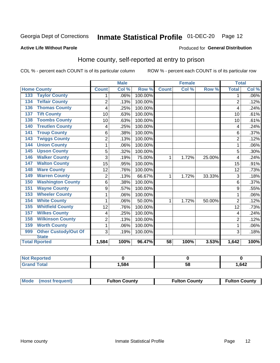## Inmate Statistical Profile 01-DEC-20 Page 12

#### **Active Life Without Parole**

#### Produced for General Distribution

### Home county, self-reported at entry to prison

COL % - percent each COUNT is of its particular column

|                                    |                | <b>Male</b> |         | <b>Female</b> |       | <b>Total</b> |                |       |
|------------------------------------|----------------|-------------|---------|---------------|-------|--------------|----------------|-------|
| <b>Home County</b>                 | <b>Count</b>   | Col %       | Row %   | <b>Count</b>  | Col % | Row %        | <b>Total</b>   | Col % |
| <b>Taylor County</b><br>133        | 1              | .06%        | 100.00% |               |       |              | 1              | .06%  |
| <b>Telfair County</b><br>134       | $\overline{2}$ | .13%        | 100.00% |               |       |              | $\overline{2}$ | .12%  |
| <b>Thomas County</b><br>136        | 4              | .25%        | 100.00% |               |       |              | 4              | .24%  |
| <b>Tift County</b><br>137          | 10             | .63%        | 100.00% |               |       |              | 10             | .61%  |
| <b>Toombs County</b><br>138        | 10             | .63%        | 100.00% |               |       |              | 10             | .61%  |
| <b>Treutlen County</b><br>140      | 4              | .25%        | 100.00% |               |       |              | 4              | .24%  |
| <b>Troup County</b><br>141         | 6              | .38%        | 100.00% |               |       |              | 6              | .37%  |
| <b>Twiggs County</b><br>143        | $\overline{2}$ | .13%        | 100.00% |               |       |              | $\overline{2}$ | .12%  |
| <b>Union County</b><br>144         | 1              | .06%        | 100.00% |               |       |              |                | .06%  |
| <b>Upson County</b><br>145         | 5              | .32%        | 100.00% |               |       |              | 5              | .30%  |
| <b>Walker County</b><br>146        | 3              | .19%        | 75.00%  | 1             | 1.72% | 25.00%       | $\overline{4}$ | .24%  |
| <b>Walton County</b><br>147        | 15             | .95%        | 100.00% |               |       |              | 15             | .91%  |
| <b>Ware County</b><br>148          | 12             | .76%        | 100.00% |               |       |              | 12             | .73%  |
| <b>Warren County</b><br>149        | $\overline{2}$ | .13%        | 66.67%  | 1             | 1.72% | 33.33%       | 3              | .18%  |
| <b>Washington County</b><br>150    | 6              | .38%        | 100.00% |               |       |              | 6              | .37%  |
| <b>Wayne County</b><br>151         | 9              | .57%        | 100.00% |               |       |              | 9              | .55%  |
| <b>Wheeler County</b><br>153       | 1              | .06%        | 100.00% |               |       |              | 1              | .06%  |
| <b>White County</b><br>154         | 1              | .06%        | 50.00%  | 1             | 1.72% | 50.00%       | $\overline{2}$ | .12%  |
| <b>Whitfield County</b><br>155     | 12             | .76%        | 100.00% |               |       |              | 12             | .73%  |
| <b>Wilkes County</b><br>157        | 4              | .25%        | 100.00% |               |       |              | 4              | .24%  |
| <b>Wilkinson County</b><br>158     | $\overline{2}$ | .13%        | 100.00% |               |       |              | $\overline{2}$ | .12%  |
| <b>Worth County</b><br>159         | 1              | .06%        | 100.00% |               |       |              | 1              | .06%  |
| <b>Other Custody/Out Of</b><br>999 | 3              | .19%        | 100.00% |               |       |              | 3              | .18%  |
| <b>State</b>                       |                |             |         |               |       |              |                |       |
| <b>Total Rported</b>               | 1,584          | 100%        | 96.47%  | 58            | 100%  | 3.53%        | 1,642          | 100%  |

| <b>Not Reported</b> |      |    |      |
|---------------------|------|----|------|
| Total               | .584 | ວດ | ,642 |

| Mode (most frequent) | <b>Fulton County</b> | <b>Fulton County</b> | <b>Fulton County</b> |
|----------------------|----------------------|----------------------|----------------------|
|----------------------|----------------------|----------------------|----------------------|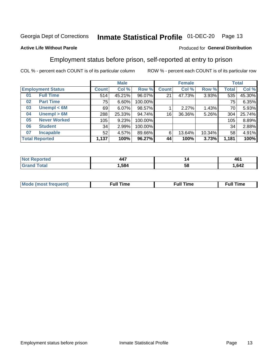#### Inmate Statistical Profile 01-DEC-20 Page 13

#### **Active Life Without Parole**

#### Produced for General Distribution

### Employment status before prison, self-reported at entry to prison

COL % - percent each COUNT is of its particular column

|                           |              | <b>Male</b> |         |              | <b>Female</b> | <b>Total</b> |       |        |
|---------------------------|--------------|-------------|---------|--------------|---------------|--------------|-------|--------|
| <b>Employment Status</b>  | <b>Count</b> | Col %       | Row %   | <b>Count</b> | Col %         | Row %        | Total | Col %  |
| <b>Full Time</b><br>01    | 514          | 45.21%      | 96.07%  | 21           | 47.73%        | 3.93%        | 535   | 45.30% |
| <b>Part Time</b><br>02    | 75           | 6.60%       | 100.00% |              |               |              | 75    | 6.35%  |
| Unempl $<$ 6M<br>03       | 69           | 6.07%       | 98.57%  |              | 2.27%         | 1.43%        | 70    | 5.93%  |
| Unempl > 6M<br>04         | 288          | 25.33%      | 94.74%  | 16           | 36.36%        | 5.26%        | 304   | 25.74% |
| <b>Never Worked</b><br>05 | 105          | 9.23%       | 100.00% |              |               |              | 105   | 8.89%  |
| <b>Student</b><br>06      | 34           | 2.99%       | 100.00% |              |               |              | 34    | 2.88%  |
| <b>Incapable</b><br>07    | 52           | 4.57%       | 89.66%  | 6            | 13.64%        | 10.34%       | 58    | 4.91%  |
| <b>Total Reported</b>     | 1,137        | 100%        | 96.27%  | 44           | 100%          | 3.73%        | 1,181 | 100%   |

| $\overline{\phantom{a}}$ | ı  | 404  |
|--------------------------|----|------|
| $  -$                    |    | י טי |
| .584                     | ວເ |      |

| Mc | ∴ull | ----<br>ıme<br>w |
|----|------|------------------|
|    |      |                  |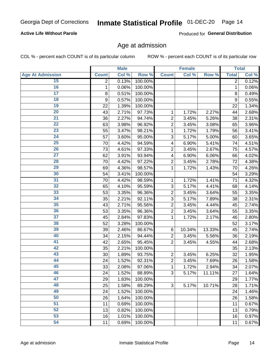#### **Active Life Without Parole**

Produced for General Distribution

### Age at admission

COL % - percent each COUNT is of its particular column

|                         |                | <b>Male</b> |         |                           | <b>Female</b> |        |                | <b>Total</b> |
|-------------------------|----------------|-------------|---------|---------------------------|---------------|--------|----------------|--------------|
| <b>Age At Admission</b> | <b>Count</b>   | Col %       | Row %   | <b>Count</b>              | Col %         | Row %  | <b>Total</b>   | Col %        |
| 15                      | $\overline{2}$ | 0.13%       | 100.00% |                           |               |        | $\overline{2}$ | 0.12%        |
| 16                      | 1              | 0.06%       | 100.00% |                           |               |        | $\mathbf{1}$   | 0.06%        |
| $\overline{17}$         | 8              | 0.51%       | 100.00% |                           |               |        | 8              | 0.49%        |
| 18                      | 9              | 0.57%       | 100.00% |                           |               |        | 9              | 0.55%        |
| 19                      | 22             | 1.39%       | 100.00% |                           |               |        | 22             | 1.34%        |
| $\overline{20}$         | 43             | 2.71%       | 97.73%  | 1                         | 1.72%         | 2.27%  | 44             | 2.68%        |
| 21                      | 36             | 2.27%       | 94.74%  | $\overline{c}$            | 3.45%         | 5.26%  | 38             | 2.31%        |
| $\overline{22}$         | 63             | 3.98%       | 96.92%  | $\overline{2}$            | 3.45%         | 3.08%  | 65             | 3.96%        |
| 23                      | 55             | 3.47%       | 98.21%  | 1                         | 1.72%         | 1.79%  | 56             | 3.41%        |
| 24                      | 57             | 3.60%       | 95.00%  | 3                         | 5.17%         | 5.00%  | 60             | 3.65%        |
| $\overline{25}$         | 70             | 4.42%       | 94.59%  | 4                         | 6.90%         | 5.41%  | 74             | 4.51%        |
| 26                      | 73             | 4.61%       | 97.33%  | $\overline{2}$            | 3.45%         | 2.67%  | 75             | 4.57%        |
| $\overline{27}$         | 62             | 3.91%       | 93.94%  | $\overline{\mathbf{4}}$   | 6.90%         | 6.06%  | 66             | 4.02%        |
| 28                      | 70             | 4.42%       | 97.22%  | $\overline{2}$            | 3.45%         | 2.78%  | 72             | 4.38%        |
| 29                      | 69             | 4.36%       | 98.57%  | 1                         | 1.72%         | 1.43%  | 70             | 4.26%        |
| 30                      | 54             | 3.41%       | 100.00% |                           |               |        | 54             | 3.29%        |
| 31                      | 70             | 4.42%       | 98.59%  | 1                         | 1.72%         | 1.41%  | 71             | 4.32%        |
| $\overline{32}$         | 65             | 4.10%       | 95.59%  | 3                         | 5.17%         | 4.41%  | 68             | 4.14%        |
| 33                      | 53             | 3.35%       | 96.36%  | $\overline{2}$            | 3.45%         | 3.64%  | 55             | 3.35%        |
| 34                      | 35             | 2.21%       | 92.11%  | 3                         | 5.17%         | 7.89%  | 38             | 2.31%        |
| 35                      | 43             | 2.71%       | 95.56%  | $\overline{2}$            | 3.45%         | 4.44%  | 45             | 2.74%        |
| 36                      | 53             | 3.35%       | 96.36%  | $\overline{c}$            | 3.45%         | 3.64%  | 55             | 3.35%        |
| $\overline{37}$         | 45             | 2.84%       | 97.83%  | 1                         | 1.72%         | 2.17%  | 46             | 2.80%        |
| 38                      | 52             | 3.28%       | 100.00% |                           |               |        | 52             | 3.17%        |
| 39                      | 39             | 2.46%       | 86.67%  | 6                         | 10.34%        | 13.33% | 45             | 2.74%        |
| 40                      | 34             | 2.15%       | 94.44%  | $\overline{c}$            | 3.45%         | 5.56%  | 36             | 2.19%        |
| 41                      | 42             | 2.65%       | 95.45%  | $\overline{2}$            | 3.45%         | 4.55%  | 44             | 2.68%        |
| 42                      | 35             | 2.21%       | 100.00% |                           |               |        | 35             | 2.13%        |
| 43                      | 30             | 1.89%       | 93.75%  | $\overline{c}$            | 3.45%         | 6.25%  | 32             | 1.95%        |
| 44                      | 24             | 1.52%       | 92.31%  | $\overline{c}$            | 3.45%         | 7.69%  | 26             | 1.58%        |
| 45                      | 33             | 2.08%       | 97.06%  | 1                         | 1.72%         | 2.94%  | 34             | 2.07%        |
| 46                      | 24             | 1.52%       | 88.89%  | $\ensuremath{\mathsf{3}}$ | 5.17%         | 11.11% | 27             | 1.64%        |
| 47                      | 29             | 1.83%       | 100.00% |                           |               |        | 29             | 1.77%        |
| 48                      | 25             | 1.58%       | 89.29%  | 3                         | 5.17%         | 10.71% | 28             | 1.71%        |
| 49                      | 24             | 1.52%       | 100.00% |                           |               |        | 24             | 1.46%        |
| 50                      | 26             | 1.64%       | 100.00% |                           |               |        | 26             | 1.58%        |
| $\overline{51}$         | 11             | 0.69%       | 100.00% |                           |               |        | 11             | 0.67%        |
| 52                      | 13             | 0.82%       | 100.00% |                           |               |        | 13             | 0.79%        |
| 53                      | 16             | 1.01%       | 100.00% |                           |               |        | 16             | 0.97%        |
| 54                      | 11             | 0.69%       | 100.00% |                           |               |        | 11             | 0.67%        |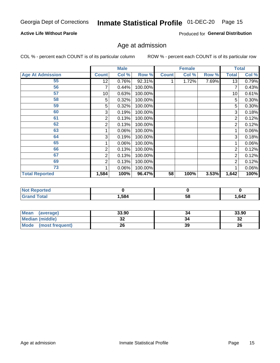#### **Active Life Without Parole**

Produced for General Distribution

## Age at admission

COL % - percent each COUNT is of its particular column

|                         |              | <b>Male</b> |         |              | <b>Female</b> |       |                | <b>Total</b> |
|-------------------------|--------------|-------------|---------|--------------|---------------|-------|----------------|--------------|
| <b>Age At Admission</b> | <b>Count</b> | Col %       | Row %   | <b>Count</b> | Col %         | Row % | <b>Total</b>   | Col %        |
| 55                      | 12           | 0.76%       | 92.31%  |              | 1.72%         | 7.69% | 13             | 0.79%        |
| 56                      | 7            | 0.44%       | 100.00% |              |               |       | 7              | 0.43%        |
| 57                      | 10           | 0.63%       | 100.00% |              |               |       | 10             | 0.61%        |
| 58                      | 5            | 0.32%       | 100.00% |              |               |       | 5              | 0.30%        |
| 59                      | 5            | 0.32%       | 100.00% |              |               |       | 5              | $0.30\%$     |
| 60                      | 3            | 0.19%       | 100.00% |              |               |       | 3              | 0.18%        |
| 61                      | 2            | 0.13%       | 100.00% |              |               |       | 2              | 0.12%        |
| 62                      | 2            | 0.13%       | 100.00% |              |               |       | $\overline{2}$ | 0.12%        |
| 63                      |              | 0.06%       | 100.00% |              |               |       |                | 0.06%        |
| 64                      | 3            | 0.19%       | 100.00% |              |               |       | 3              | 0.18%        |
| 65                      |              | 0.06%       | 100.00% |              |               |       |                | 0.06%        |
| 66                      | 2            | 0.13%       | 100.00% |              |               |       | $\overline{2}$ | 0.12%        |
| 67                      | 2            | 0.13%       | 100.00% |              |               |       | 2              | 0.12%        |
| 69                      | 2            | 0.13%       | 100.00% |              |               |       | $\overline{2}$ | 0.12%        |
| 73                      |              | 0.06%       | 100.00% |              |               |       |                | 0.06%        |
| <b>Total Reported</b>   | 1,584        | 100%        | 96.47%  | 58           | 100%          | 3.53% | 1,642          | 100%         |

| <b>Not Reported</b> |      |   |       |
|---------------------|------|---|-------|
| <b>Total</b>        | ,584 | ວ | 1,642 |

| Mean<br>(average)              | 33.90 | 34 | 33.90   |
|--------------------------------|-------|----|---------|
| <b>Median (middle)</b>         | JZ    |    | …<br>34 |
| <b>Mode</b><br>(most frequent) | 26    | 39 | 26      |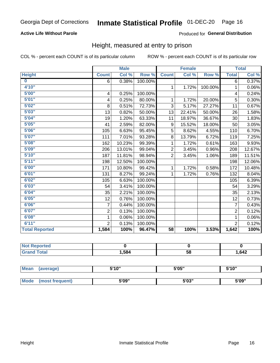#### **Active Life Without Parole**

#### Produced for General Distribution

### Height, measured at entry to prison

COL % - percent each COUNT is of its particular column

|                       |                          | <b>Male</b> |         |                 | <b>Female</b> |         |                | <b>Total</b> |
|-----------------------|--------------------------|-------------|---------|-----------------|---------------|---------|----------------|--------------|
| <b>Height</b>         | <b>Count</b>             | Col %       | Row %   | <b>Count</b>    | Col %         | Row %   | <b>Total</b>   | Col %        |
| $\bf{0}$              | 6                        | 0.38%       | 100.00% |                 |               |         | 6              | 0.37%        |
| 4'10"                 |                          |             |         | $\mathbf 1$     | 1.72%         | 100.00% | 1              | 0.06%        |
| 5'00''                | $\overline{\mathcal{A}}$ | 0.25%       | 100.00% |                 |               |         | 4              | 0.24%        |
| 5'01"                 | 4                        | 0.25%       | 80.00%  | 1.              | 1.72%         | 20.00%  | 5              | 0.30%        |
| 5'02"                 | 8                        | 0.51%       | 72.73%  | 3               | 5.17%         | 27.27%  | 11             | 0.67%        |
| 5'03''                | 13                       | 0.82%       | 50.00%  | 13              | 22.41%        | 50.00%  | 26             | 1.58%        |
| 5'04"                 | 19                       | 1.20%       | 63.33%  | 11              | 18.97%        | 36.67%  | 30             | 1.83%        |
| 5'05"                 | 41                       | 2.59%       | 82.00%  | 9               | 15.52%        | 18.00%  | 50             | 3.05%        |
| 5'06''                | 105                      | 6.63%       | 95.45%  | 5               | 8.62%         | 4.55%   | 110            | 6.70%        |
| 5'07''                | 111                      | 7.01%       | 93.28%  | 8               | 13.79%        | 6.72%   | 119            | 7.25%        |
| 5'08''                | 162                      | 10.23%      | 99.39%  | 1               | 1.72%         | 0.61%   | 163            | 9.93%        |
| 5'09''                | 206                      | 13.01%      | 99.04%  | $\overline{2}$  | 3.45%         | 0.96%   | 208            | 12.67%       |
| 5'10''                | 187                      | 11.81%      | 98.94%  | $\overline{2}$  | 3.45%         | 1.06%   | 189            | 11.51%       |
| 5'11''                | 198                      | 12.50%      | 100.00% |                 |               |         | 198            | 12.06%       |
| 6'00''                | 171                      | 10.80%      | 99.42%  | $\mathbf{1}$    | 1.72%         | 0.58%   | 172            | 10.48%       |
| 6'01''                | 131                      | 8.27%       | 99.24%  | 1.              | 1.72%         | 0.76%   | 132            | 8.04%        |
| 6'02"                 | 105                      | 6.63%       | 100.00% |                 |               |         | 105            | 6.39%        |
| 6'03''                | 54                       | 3.41%       | 100.00% |                 |               |         | 54             | 3.29%        |
| 6'04"                 | 35                       | 2.21%       | 100.00% |                 |               |         | 35             | 2.13%        |
| 6'05"                 | 12                       | 0.76%       | 100.00% |                 |               |         | 12             | 0.73%        |
| 6'06''                | 7                        | 0.44%       | 100.00% |                 |               |         | $\overline{7}$ | 0.43%        |
| 6'07''                | $\overline{2}$           | 0.13%       | 100.00% |                 |               |         | $\overline{2}$ | 0.12%        |
| 6'08''                | 1                        | 0.06%       | 100.00% |                 |               |         | $\mathbf{1}$   | 0.06%        |
| 6'11''                | $\overline{2}$           | 0.13%       | 100.00% |                 |               |         | $\overline{2}$ | 0.12%        |
| <b>Total Reported</b> | 1,584                    | 100%        | 96.47%  | $\overline{58}$ | 100%          | 3.53%   | 1,642          | 100%         |

| <b>Not Reported</b> |      |    |      |
|---------------------|------|----|------|
| 'otal               | .584 | 58 | .642 |

| <b>Mean</b> | (average)       | 5'10" | 5'05" | 5'10" |
|-------------|-----------------|-------|-------|-------|
|             |                 |       |       |       |
| <b>Mode</b> | (most frequent) | 5'09" | 5'03" | 5'09" |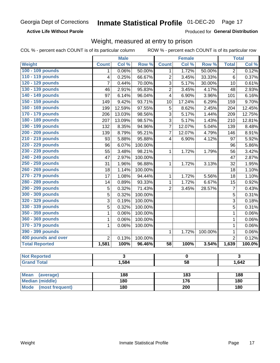**Active Life Without Parole** 

Produced for General Distribution

### Weight, measured at entry to prison

COL % - percent each COUNT is of its particular column

ROW % - percent each COUNT is of its particular row

|                                |                         | <b>Male</b>             |                 |                  | <b>Female</b>           |         |                | <b>Total</b>            |  |
|--------------------------------|-------------------------|-------------------------|-----------------|------------------|-------------------------|---------|----------------|-------------------------|--|
| <b>Weight</b>                  | <b>Count</b>            | Col %                   | Row %           | <b>Count</b>     | Col %                   | Row %   | <b>Total</b>   | Col %                   |  |
| 100 - 109 pounds               | 1                       | 0.06%                   | 50.00%          | 1                | 1.72%                   | 50.00%  | $\overline{2}$ | 0.12%                   |  |
| 110 - 119 pounds               | $\overline{\mathbf{4}}$ | 0.25%                   | 66.67%          | $\overline{c}$   | 3.45%                   | 33.33%  | 6              | 0.37%                   |  |
| 120 - 129 pounds               | $\overline{7}$          | 0.44%                   | 70.00%          | 3                | 5.17%                   | 30.00%  | 10             | 0.61%                   |  |
| 130 - 139 pounds               | 46                      | 2.91%                   | 95.83%          | $\overline{2}$   | 3.45%                   | 4.17%   | 48             | 2.93%                   |  |
| 140 - 149 pounds               | $\overline{97}$         | 6.14%                   | 96.04%          | $\overline{4}$   | 6.90%                   | 3.96%   | 101            | 6.16%                   |  |
| 150 - 159 pounds               | 149                     | 9.42%                   | 93.71%          | 10               | 17.24%                  | 6.29%   | 159            | 9.70%                   |  |
| 160 - 169 pounds               | 199                     | 12.59%                  | 97.55%          | 5                | 8.62%                   | 2.45%   | 204            | 12.45%                  |  |
| 170 - 179 pounds               | 206                     | 13.03%                  | 98.56%          | $\overline{3}$   | 5.17%                   | 1.44%   | 209            | 12.75%                  |  |
| 180 - 189 pounds               | 207                     | 13.09%                  | 98.57%          | $\overline{3}$   | 5.17%                   | 1.43%   | 210            | 12.81%                  |  |
| 190 - 199 pounds               | 132                     | 8.35%                   | 94.96%          | $\overline{7}$   | 12.07%                  | 5.04%   | 139            | 8.48%                   |  |
| 200 - 209 pounds               | 139                     | 8.79%                   | 95.21%          | $\overline{7}$   | 12.07%                  | 4.79%   | 146            | 8.91%                   |  |
| 210 - 219 pounds               | 93                      | 5.88%                   | 95.88%          | 4                | 6.90%                   | 4.12%   | 97             | 5.92%                   |  |
| 220 - 229 pounds               | 96                      | 6.07%                   | 100.00%         |                  |                         |         | 96             | 5.86%                   |  |
| 230 - 239 pounds               | $\overline{55}$         | 3.48%                   | 98.21%          | $\mathbf{1}$     | 1.72%                   | 1.79%   | 56             | 3.42%                   |  |
| 240 - 249 pounds               | 47                      | 2.97%                   | 100.00%         |                  |                         |         | 47             | 2.87%                   |  |
| 250 - 259 pounds               | 31                      | 1.96%                   | 96.88%          | $\mathbf{1}$     | 1.72%                   | 3.13%   | 32             | 1.95%                   |  |
| 260 - 269 pounds               | 18                      | 1.14%                   | 100.00%         |                  |                         |         | 18             | 1.10%                   |  |
| 270 - 279 pounds               | 17                      | 1.08%                   | 94.44%          | 1                | 1.72%                   | 5.56%   | 18             | 1.10%                   |  |
| 280 - 289 pounds               | 14                      | 0.89%                   | 93.33%          | $\mathbf{1}$     | 1.72%                   | 6.67%   | 15             | 0.92%                   |  |
| 290 - 299 pounds               | 5                       | 0.32%                   | 71.43%          | $\overline{2}$   | 3.45%                   | 28.57%  | $\overline{7}$ | 0.43%                   |  |
| 300 - 309 pounds               | 5                       | 0.32%                   | 100.00%         |                  |                         |         | 5              | 0.31%                   |  |
| 320 - 329 pounds               | 3                       | 0.19%                   | 100.00%         |                  |                         |         | 3              | 0.18%                   |  |
| 330 - 339 pounds               | 5                       | 0.32%                   | 100.00%         |                  |                         |         | 5              | 0.31%                   |  |
| 350 - 359 pounds               | 1                       | 0.06%                   | 100.00%         |                  |                         |         | $\mathbf 1$    | 0.06%                   |  |
| 360 - 369 pounds               | $\mathbf{1}$            | 0.06%                   | 100.00%         |                  |                         |         | $\mathbf{1}$   | 0.06%                   |  |
| 370 - 379 pounds               | 1                       | 0.06%                   | 100.00%         |                  |                         |         | 1              | 0.06%                   |  |
| 390 - 399 pounds               |                         |                         |                 | 1                | 1.72%                   | 100.00% | 1              | 0.06%                   |  |
| 400 pounds and over            | $\overline{2}$          | 0.13%                   | 100.00%         |                  |                         |         | $\overline{2}$ | 0.12%                   |  |
| <b>Total Reported</b>          | 1,581                   | 100%                    | 96.46%          | $\overline{58}$  | 100%                    | 3.54%   | 1,639          | 100.0%                  |  |
| <b>Not Reported</b>            |                         | $\overline{\mathbf{3}}$ |                 |                  | $\overline{\mathbf{0}}$ |         |                | $\overline{\mathbf{3}}$ |  |
| <b>Grand Total</b>             | 1,584                   |                         | $\overline{58}$ |                  |                         |         | 1,642          |                         |  |
|                                |                         |                         |                 |                  |                         |         |                |                         |  |
| <b>Mean</b><br>(average)       |                         | 188                     |                 |                  | 183                     |         |                | 188                     |  |
| <b>Median (middle)</b>         |                         | 180                     |                 |                  | $\overline{176}$        |         | 180            |                         |  |
| <b>Mode</b><br>(most frequent) |                         | <b>180</b>              |                 | $\overline{200}$ |                         |         | 180            |                         |  |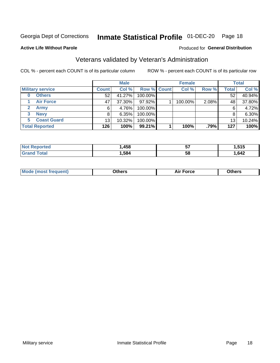## Inmate Statistical Profile 01-DEC-20 Page 18

#### **Active Life Without Parole**

#### Produced for General Distribution

## Veterans validated by Veteran's Administration

COL % - percent each COUNT is of its particular column

|                          |              | <b>Male</b> |                    | <b>Female</b> |       |              | <b>Total</b> |
|--------------------------|--------------|-------------|--------------------|---------------|-------|--------------|--------------|
| <b>Military service</b>  | <b>Count</b> | Col %       | <b>Row % Count</b> | Col %         | Row % | <b>Total</b> | Col %        |
| <b>Others</b><br>0       | 52           | 41.27%      | 100.00%            |               |       | 52           | 40.94%       |
| <b>Air Force</b>         | 47           | 37.30%      | 97.92%             | 100.00%       | 2.08% | 48           | 37.80%       |
| <b>Army</b>              | 6            | 4.76%       | 100.00%            |               |       | 6            | 4.72%        |
| <b>Navy</b><br>3         | 8            | 6.35%       | 100.00%            |               |       | 8            | 6.30%        |
| <b>Coast Guard</b><br>5. | 13           | 10.32%      | 100.00%            |               |       | 13           | 10.24%       |
| <b>Total Reported</b>    | 126          | 100%        | 99.21%             | 100%          | .79%  | 127          | 100%         |

| neo               | .458 | --<br>v, | 515<br>.<br>יוש |
|-------------------|------|----------|-----------------|
| $f \sim f \sim f$ | ,584 | 58       | ,642            |

| <b>Moo.</b> |
|-------------|
|-------------|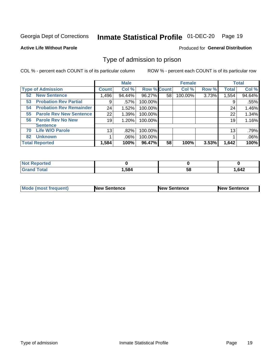## Inmate Statistical Profile 01-DEC-20 Page 19

**Active Life Without Parole** 

Produced for General Distribution

### Type of admission to prison

COL % - percent each COUNT is of its particular column

|                                      |              | <b>Male</b> |                    |    | <b>Female</b> |       |              | <b>Total</b> |
|--------------------------------------|--------------|-------------|--------------------|----|---------------|-------|--------------|--------------|
| <b>Type of Admission</b>             | <b>Count</b> | Col %       | <b>Row % Count</b> |    | Col %         | Row % | <b>Total</b> | Col %        |
| <b>New Sentence</b><br>52            | 1,496        | 94.44%      | 96.27%             | 58 | 100.00%       | 3.73% | 1,554        | 94.64%       |
| <b>Probation Rev Partial</b><br>53   | 9            | .57%        | 100.00%            |    |               |       | 9            | .55%         |
| <b>Probation Rev Remainder</b><br>54 | 24           | 1.52%       | 100.00%            |    |               |       | 24           | 1.46%        |
| <b>Parole Rev New Sentence</b><br>55 | 22           | 1.39%       | 100.00%            |    |               |       | 22           | 1.34%        |
| <b>Parole Rev No New</b><br>56       | 19           | 1.20%       | 100.00%            |    |               |       | 19           | 1.16%        |
| <b>Sentence</b>                      |              |             |                    |    |               |       |              |              |
| <b>Life W/O Parole</b><br>70         | 13           | .82%        | 100.00%            |    |               |       | 13           | .79%         |
| <b>Unknown</b><br>82                 |              | .06%        | 100.00%            |    |               |       |              | .06%         |
| <b>Total Reported</b>                | 1,584        | 100%        | 96.47%             | 58 | 100%          | 3.53% | 1,642        | 100%         |

| Reported<br><b>NOT</b> |       |    |      |
|------------------------|-------|----|------|
| <b>Total</b><br>"Gran⊾ | . 584 | วง | .642 |

| <b>Mode (most frequent)</b> | <b>New Sentence</b> | <b>New Sentence</b> | <b>New Sentence</b> |
|-----------------------------|---------------------|---------------------|---------------------|
|                             |                     |                     |                     |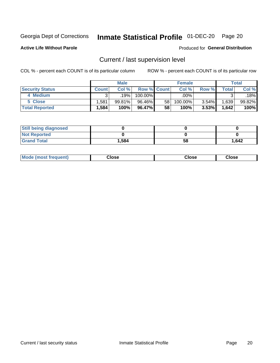## Inmate Statistical Profile 01-DEC-20 Page 20

**Active Life Without Parole** 

#### Produced for General Distribution

## Current / last supervision level

COL % - percent each COUNT is of its particular column

|                        |              | <b>Male</b> |                    |                 | <b>Female</b> |          |       | <b>Total</b> |
|------------------------|--------------|-------------|--------------------|-----------------|---------------|----------|-------|--------------|
| <b>Security Status</b> | <b>Count</b> | Col%        | <b>Row % Count</b> |                 | Col %         | Row %    | Total | Col %        |
| 4 Medium               | ົ            | 19%         | 100.00%            |                 | .00%          |          |       | .18%         |
| 5 Close                | .581         | 99.81%      | 96.46%             | 58 <sub>1</sub> | 100.00%       | 3.54%    | 1,639 | 99.82%       |
| <b>Total Reported</b>  | .584         | 100%        | 96.47%             | 58              | 100%          | $3.53\%$ | 1,642 | 100%         |

| <b>Still being diagnosed</b> |       |    |       |
|------------------------------|-------|----|-------|
| <b>Not Reported</b>          |       |    |       |
| <b>Grand Total</b>           | 1,584 | 58 | 1,642 |

| <b>Mode (most frequent)</b> | Close | ∵lose | Close |
|-----------------------------|-------|-------|-------|
|                             |       |       |       |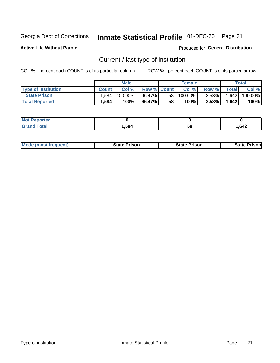## Inmate Statistical Profile 01-DEC-20 Page 21

**Active Life Without Parole** 

Produced for General Distribution

## Current / last type of institution

COL % - percent each COUNT is of its particular column

|                            |              | <b>Male</b> |                    |                 | <b>Female</b> |          |                | <b>Total</b> |
|----------------------------|--------------|-------------|--------------------|-----------------|---------------|----------|----------------|--------------|
| <b>Type of Institution</b> | <b>Count</b> | Col%        | <b>Row % Count</b> |                 | Col %         | Row %    | <b>Total</b> I | Col %        |
| <b>State Prison</b>        | 1,584        | 100.00%     | 96.47%             | 58 <sub>1</sub> | 100.00%       | $3.53\%$ | 1.642          | 100.00%      |
| <b>Total Reported</b>      | 1,584        | 100%        | 96.47%             | 58              | $100\%$ .     | $3.53\%$ | 1.642          | 100%         |

| тео |         |    |      |
|-----|---------|----|------|
|     | 584<br> | ວເ | .642 |

|  | <b>Mode (most frequent)</b> | State Prison | <b>State Prison</b> | <b>State Prison</b> |
|--|-----------------------------|--------------|---------------------|---------------------|
|--|-----------------------------|--------------|---------------------|---------------------|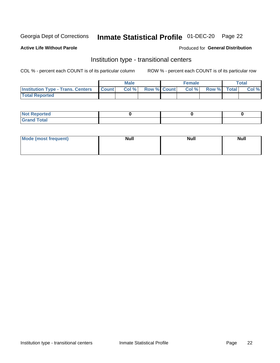## Inmate Statistical Profile 01-DEC-20 Page 22

#### **Active Life Without Parole**

#### Produced for General Distribution

## Institution type - transitional centers

COL % - percent each COUNT is of its particular column

|                                                  | <b>Male</b> |                    | <b>Female</b> |             | Total |
|--------------------------------------------------|-------------|--------------------|---------------|-------------|-------|
| <b>Institution Type - Trans. Centers Count  </b> | Col%        | <b>Row % Count</b> | Col %         | Row % Total | Col % |
| <b>Total Reported</b>                            |             |                    |               |             |       |

| <b>Reported</b><br><b>NOT</b><br>$\sim$            |  |  |
|----------------------------------------------------|--|--|
| $f$ $f \circ f \circ f$<br>$C = 1$<br><b>TULAI</b> |  |  |

| Mode (most frequent) | <b>Null</b> | <b>Null</b> | <b>Null</b> |
|----------------------|-------------|-------------|-------------|
|                      |             |             |             |
|                      |             |             |             |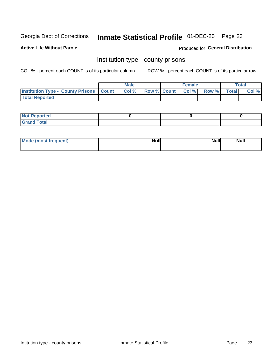## Inmate Statistical Profile 01-DEC-20 Page 23

**Active Life Without Parole** 

**Produced for General Distribution** 

### Institution type - county prisons

COL % - percent each COUNT is of its particular column

|                                                    | <b>Male</b> |       |  | <b>Female</b> |                          |             | <b>Total</b> |       |
|----------------------------------------------------|-------------|-------|--|---------------|--------------------------|-------------|--------------|-------|
| <b>Institution Type - County Prisons   Count  </b> |             | Col % |  |               | <b>Row % Count Col %</b> | Row % Total |              | Col % |
| <b>Total Reported</b>                              |             |       |  |               |                          |             |              |       |

| <b>Not</b><br>: Reported<br> |  |  |
|------------------------------|--|--|
| <b>Total</b><br>---          |  |  |

| Mode (most frequent) | <b>Null</b> | <b>Null</b><br><b>Null</b> |
|----------------------|-------------|----------------------------|
|                      |             |                            |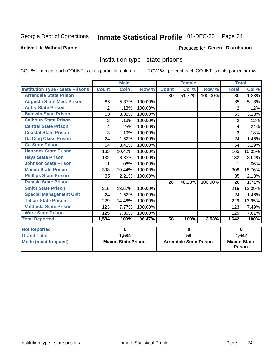## Inmate Statistical Profile 01-DEC-20 Page 24

#### **Active Life Without Parole**

#### **Produced for General Distribution**

### Institution type - state prisons

COL % - percent each COUNT is of its particular column

ROW % - percent each COUNT is of its particular row

|                                         | <b>Male</b>    |                           |         |              | <b>Female</b>                 |         | <b>Total</b>       |        |  |
|-----------------------------------------|----------------|---------------------------|---------|--------------|-------------------------------|---------|--------------------|--------|--|
| <b>Institution Type - State Prisons</b> | <b>Count</b>   | Col %                     | Row %   | <b>Count</b> | Col %                         | Row %   | <b>Total</b>       | Col %  |  |
| <b>Arrendale State Prison</b>           |                |                           |         | 30           | 51.72%                        | 100.00% | 30                 | 1.83%  |  |
| <b>Augusta State Med. Prison</b>        | 85             | 5.37%                     | 100.00% |              |                               |         | 85                 | 5.18%  |  |
| <b>Autry State Prison</b>               | $\overline{2}$ | .13%                      | 100.00% |              |                               |         | $\overline{2}$     | .12%   |  |
| <b>Baldwin State Prison</b>             | 53             | 3.35%                     | 100.00% |              |                               |         | 53                 | 3.23%  |  |
| <b>Calhoun State Prison</b>             | 2              | .13%                      | 100.00% |              |                               |         | 2                  | .12%   |  |
| <b>Central State Prison</b>             | 4              | .25%                      | 100.00% |              |                               |         | 4                  | .24%   |  |
| <b>Coastal State Prison</b>             | 3              | .19%                      | 100.00% |              |                               |         | 3                  | .18%   |  |
| <b>Ga Diag Class Prison</b>             | 24             | 1.52%                     | 100.00% |              |                               |         | 24                 | 1.46%  |  |
| <b>Ga State Prison</b>                  | 54             | 3.41%                     | 100.00% |              |                               |         | 54                 | 3.29%  |  |
| <b>Hancock State Prison</b>             | 165            | 10.42%                    | 100.00% |              |                               |         | 165                | 10.05% |  |
| <b>Hays State Prison</b>                | 132            | 8.33%                     | 100.00% |              |                               |         | 132                | 8.04%  |  |
| <b>Johnson State Prison</b>             | 1              | .06%                      | 100.00% |              |                               |         |                    | .06%   |  |
| <b>Macon State Prison</b>               | 308            | 19.44%                    | 100.00% |              |                               |         | 308                | 18.76% |  |
| <b>Phillips State Prison</b>            | 35             | 2.21%                     | 100.00% |              |                               |         | 35                 | 2.13%  |  |
| <b>Pulaski State Prison</b>             |                |                           |         | 28           | 48.28%                        | 100.00% | 28                 | 1.71%  |  |
| <b>Smith State Prison</b>               | 215            | 13.57%                    | 100.00% |              |                               |         | 215                | 13.09% |  |
| <b>Special Management Unit</b>          | 24             | 1.52%                     | 100.00% |              |                               |         | 24                 | 1.46%  |  |
| <b>Telfair State Prison</b>             | 229            | 14.46%                    | 100.00% |              |                               |         | 229                | 13.95% |  |
| <b>Valdosta State Prison</b>            | 123            | 7.77%                     | 100.00% |              |                               |         | 123                | 7.49%  |  |
| <b>Ware State Prison</b>                | 125            | 7.89%                     | 100.00% |              |                               |         | 125                | 7.61%  |  |
| <b>Total Reported</b>                   | 1,584          | 100%                      | 96.47%  | 58           | 100%                          | 3.53%   | 1,642              | 100%   |  |
| <b>Not Reported</b>                     |                | 0                         |         | $\bf{0}$     |                               |         | $\bf{0}$           |        |  |
| <b>Grand Total</b>                      |                | 1,584                     |         |              | 58                            |         |                    | 1,642  |  |
| <b>Mode (most frequent)</b>             |                | <b>Macon State Prison</b> |         |              | <b>Arrendale State Prison</b> |         | <b>Macon State</b> |        |  |

Prison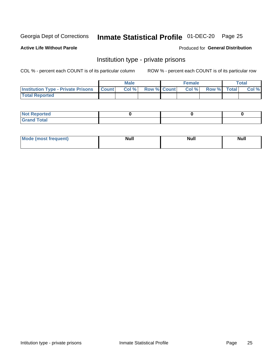## Inmate Statistical Profile 01-DEC-20 Page 25

**Active Life Without Parole** 

Produced for General Distribution

### Institution type - private prisons

COL % - percent each COUNT is of its particular column

|                                                 | <b>Male</b> |      |                    | <b>Female</b> |       |             | Total |       |
|-------------------------------------------------|-------------|------|--------------------|---------------|-------|-------------|-------|-------|
| <b>Institution Type - Private Prisons Count</b> |             | Col% | <b>Row % Count</b> |               | Col % | Row % Total |       | Col % |
| <b>Total Reported</b>                           |             |      |                    |               |       |             |       |       |

| <b>Reported</b><br><b>NOT</b><br>$\sim$            |  |  |
|----------------------------------------------------|--|--|
| $f$ $f \circ f \circ f$<br>$C = 1$<br><b>TULAI</b> |  |  |

| <b>Mo</b><br>frequent) | <b>Null</b> | <b>Null</b> | . . I *<br><b>IVUII</b> |
|------------------------|-------------|-------------|-------------------------|
|                        |             |             |                         |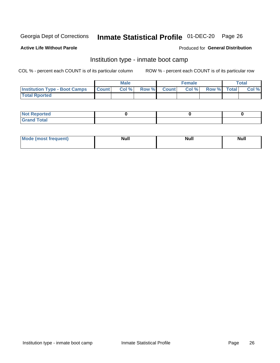## Inmate Statistical Profile 01-DEC-20 Page 26

#### **Active Life Without Parole**

#### Produced for General Distribution

### Institution type - inmate boot camp

COL % - percent each COUNT is of its particular column

|                                      | <b>Male</b>     |       |              |              | <b>Female</b> | <b>Total</b> |  |       |
|--------------------------------------|-----------------|-------|--------------|--------------|---------------|--------------|--|-------|
| <b>Institution Type - Boot Camps</b> | <b>I</b> Count⊥ | Col % | <b>Row %</b> | <b>Count</b> | Col %         | Row % Total  |  | Col % |
| <b>Total Rported</b>                 |                 |       |              |              |               |              |  |       |

| <b>Not Reported</b>            |  |  |
|--------------------------------|--|--|
| <b>Total</b><br>C <sub>r</sub> |  |  |

| Mod<br>uamo | Nul.<br>$- - - - - -$ | <b>Null</b> | <br>uu.<br>------ |
|-------------|-----------------------|-------------|-------------------|
|             |                       |             |                   |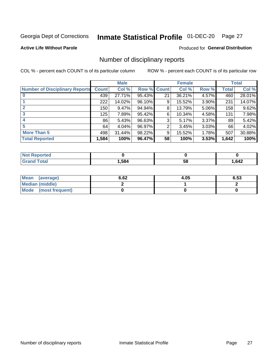## Inmate Statistical Profile 01-DEC-20 Page 27

#### **Active Life Without Parole**

#### **Produced for General Distribution**

### Number of disciplinary reports

COL % - percent each COUNT is of its particular column

|                                       | <b>Male</b>  |          |        | <b>Female</b> |        |       | <b>Total</b> |        |
|---------------------------------------|--------------|----------|--------|---------------|--------|-------|--------------|--------|
| <b>Number of Disciplinary Reports</b> | <b>Count</b> | Col %    | Row %  | <b>Count</b>  | Col %  | Row % | Total        | Col %  |
|                                       | 439          | 27.71%   | 95.43% | 21            | 36.21% | 4.57% | 460          | 28.01% |
|                                       | 222          | 14.02%   | 96.10% | 9             | 15.52% | 3.90% | 231          | 14.07% |
| $\mathbf{2}$                          | 150          | $9.47\%$ | 94.94% | 8             | 13.79% | 5.06% | 158          | 9.62%  |
| 3                                     | 125          | 7.89%    | 95.42% | 6             | 10.34% | 4.58% | 131          | 7.98%  |
|                                       | 86           | 5.43%    | 96.63% | 3             | 5.17%  | 3.37% | 89           | 5.42%  |
| 5                                     | 64           | 4.04%    | 96.97% | 2             | 3.45%  | 3.03% | 66           | 4.02%  |
| <b>More Than 5</b>                    | 498          | 31.44%   | 98.22% | 9             | 15.52% | 1.78% | 507          | 30.88% |
| <b>Total Reported</b>                 | 1,584        | 100%     | 96.47% | 58            | 100%   | 3.53% | 1,642        | 100%   |

| NO           |      |    |      |
|--------------|------|----|------|
| <b>Total</b> | .584 | Ⴢჾ | .642 |

| Mean (average)       | 6.62 | 4.05 | 6.53 |
|----------------------|------|------|------|
| Median (middle)      |      |      |      |
| Mode (most frequent) |      |      |      |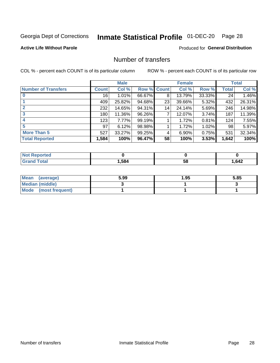## Inmate Statistical Profile 01-DEC-20 Page 28

#### **Active Life Without Parole**

#### **Produced for General Distribution**

## Number of transfers

COL % - percent each COUNT is of its particular column

|                            | <b>Male</b>     |        | <b>Female</b> |    |        | <b>Total</b> |              |        |
|----------------------------|-----------------|--------|---------------|----|--------|--------------|--------------|--------|
| <b>Number of Transfers</b> | <b>Count</b>    | Col %  | Row % Count   |    | Col %  | Row %        | <b>Total</b> | Col %  |
|                            | 16 <sup>1</sup> | 1.01%  | 66.67%        | 8  | 13.79% | 33.33%       | 24           | 1.46%  |
|                            | 409             | 25.82% | 94.68%        | 23 | 39.66% | 5.32%        | 432          | 26.31% |
| $\mathbf{2}$               | 232             | 14.65% | 94.31%        | 14 | 24.14% | 5.69%        | 246          | 14.98% |
| 3                          | 180             | 11.36% | 96.26%        | 7  | 12.07% | 3.74%        | 187          | 11.39% |
|                            | 123             | 7.77%  | 99.19%        |    | 1.72%  | 0.81%        | 124          | 7.55%  |
| 5                          | 97              | 6.12%  | 98.98%        |    | 1.72%  | 1.02%        | 98           | 5.97%  |
| <b>More Than 5</b>         | 527             | 33.27% | 99.25%        | 4  | 6.90%  | 0.75%        | 531          | 32.34% |
| <b>Total Reported</b>      | 1,584           | 100%   | 96.47%        | 58 | 100%   | 3.53%        | 1,642        | 100%   |

| NO           |      |    |      |
|--------------|------|----|------|
| <b>Total</b> | .584 | Ⴢჾ | .642 |

| Mean (average)       | 5.99 | 1.95 | 5.85 |
|----------------------|------|------|------|
| Median (middle)      |      |      |      |
| Mode (most frequent) |      |      |      |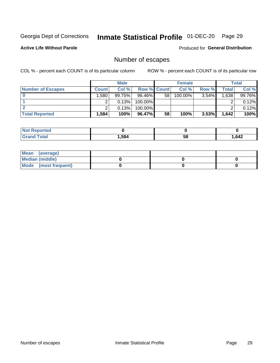## Inmate Statistical Profile 01-DEC-20 Page 29

**Active Life Without Parole** 

**Produced for General Distribution** 

## Number of escapes

COL % - percent each COUNT is of its particular column

|                          | <b>Male</b>       |        |                    | <b>Female</b> |         |          | Total |        |
|--------------------------|-------------------|--------|--------------------|---------------|---------|----------|-------|--------|
| <b>Number of Escapes</b> | <b>Count</b>      | Col %  | <b>Row % Count</b> |               | Col %   | Row %    | Total | Col %  |
|                          | .580 <sup>1</sup> | 99.75% | $96.46\%$          | 58            | 100.00% | $3.54\%$ | .638  | 99.76% |
|                          |                   | 0.13%  | 100.00%            |               |         |          |       | 0.12%  |
|                          |                   | 0.13%  | $100.00\%$         |               |         |          |       | 0.12%  |
| <b>Total Reported</b>    | .584              | 100%   | 96.47%             | 58            | 100%    | 3.53%    | 1,642 | 100%   |

| <b>Not Reported</b> |      |    |      |
|---------------------|------|----|------|
| <b>Grand Total</b>  | .584 | 58 | .642 |

| Mean (average)       |  |  |
|----------------------|--|--|
| Median (middle)      |  |  |
| Mode (most frequent) |  |  |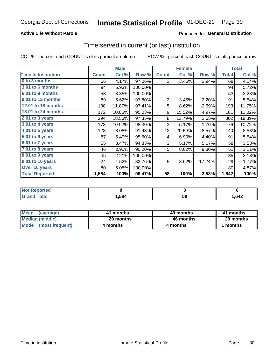#### **Active Life Without Parole**

#### Produced for General Distribution

### Time served in current (or last) institution

COL % - percent each COUNT is of its particular column

|                            |              | <b>Male</b> |         |                | <b>Female</b> | <b>Total</b> |              |        |
|----------------------------|--------------|-------------|---------|----------------|---------------|--------------|--------------|--------|
| <b>Time In Institution</b> | <b>Count</b> | Col %       | Row %   | <b>Count</b>   | Col %         | Row %        | <b>Total</b> | Col %  |
| 0 to 3 months              | 66           | 4.17%       | 97.06%  | 2              | 3.45%         | 2.94%        | 68           | 4.14%  |
| 3.01 to 6 months           | 94           | 5.93%       | 100.00% |                |               |              | 94           | 5.72%  |
| 6.01 to 9 months           | 53           | 3.35%       | 100.00% |                |               |              | 53           | 3.23%  |
| 9.01 to 12 months          | 89           | 5.62%       | 97.80%  | $\overline{2}$ | 3.45%         | 2.20%        | 91           | 5.54%  |
| 12.01 to 18 months         | 188          | 11.87%      | 97.41%  | 5              | 8.62%         | 2.59%        | 193          | 11.75% |
| 18.01 to 24 months         | 172          | 10.86%      | 95.03%  | 9              | 15.52%        | 4.97%        | 181          | 11.02% |
| $2.01$ to 3 years          | 294          | 18.56%      | 97.35%  | 8              | 13.79%        | 2.65%        | 302          | 18.39% |
| 3.01 to 4 years            | 173          | 10.92%      | 98.30%  | 3              | 5.17%         | 1.70%        | 176          | 10.72% |
| 4.01 to 5 years            | 128          | 8.08%       | 91.43%  | 12             | 20.69%        | 8.57%        | 140          | 8.53%  |
| 5.01 to 6 years            | 87           | 5.49%       | 95.60%  | 4              | 6.90%         | 4.40%        | 91           | 5.54%  |
| 6.01 to 7 years            | 55           | 3.47%       | 94.83%  | 3              | 5.17%         | 5.17%        | 58           | 3.53%  |
| 7.01 to 8 years            | 46           | 2.90%       | 90.20%  | 5              | 8.62%         | 9.80%        | 51           | 3.11%  |
| 8.01 to 9 years            | 35           | 2.21%       | 100.00% |                |               |              | 35           | 2.13%  |
| 9.01 to 10 years           | 24           | 1.52%       | 82.76%  | 5              | 8.62%         | 17.24%       | 29           | 1.77%  |
| Over 10 years              | 80           | 5.05%       | 100.00% |                |               |              | 80           | 4.87%  |
| <b>Total Reported</b>      | 1,584        | 100%        | 96.47%  | 58             | 100%          | 3.53%        | 1,642        | 100%   |

| <b>Not Reported</b> |       |    |      |
|---------------------|-------|----|------|
| $f \circ f \circ f$ | .584، | uu | ,642 |

| <b>Mean</b><br>(average) | 41 months | 49 months | 41 months |  |  |
|--------------------------|-----------|-----------|-----------|--|--|
| Median (middle)          | 29 months | 46 months | 29 months |  |  |
| Mode (most frequent)     | 4 months  | 4 months  | 1 months  |  |  |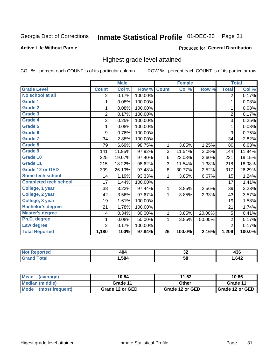#### Inmate Statistical Profile 01-DEC-20 Page 31

#### **Active Life Without Parole**

#### Produced for General Distribution

### Highest grade level attained

COL % - percent each COUNT is of its particular column

|                              |                | <b>Male</b> |         |                 | <b>Female</b> |        |                | <b>Total</b> |
|------------------------------|----------------|-------------|---------|-----------------|---------------|--------|----------------|--------------|
| <b>Grade Level</b>           | <b>Count</b>   | Col %       | Row %   | <b>Count</b>    | Col %         | Row %  | <b>Total</b>   | Col %        |
| No school at all             | 2              | 0.17%       | 100.00% |                 |               |        | $\overline{2}$ | 0.17%        |
| <b>Grade 1</b>               | 1              | 0.08%       | 100.00% |                 |               |        | 1              | 0.08%        |
| <b>Grade 2</b>               | 1              | 0.08%       | 100.00% |                 |               |        | 1              | 0.08%        |
| <b>Grade 3</b>               | $\overline{2}$ | 0.17%       | 100.00% |                 |               |        | $\overline{2}$ | 0.17%        |
| Grade 4                      | 3              | 0.25%       | 100.00% |                 |               |        | 3              | 0.25%        |
| Grade 5                      | 1              | 0.08%       | 100.00% |                 |               |        | 1              | 0.08%        |
| Grade 6                      | 9              | 0.76%       | 100.00% |                 |               |        | 9              | 0.75%        |
| Grade 7                      | 34             | 2.88%       | 100.00% |                 |               |        | 34             | 2.82%        |
| <b>Grade 8</b>               | 79             | 6.69%       | 98.75%  | 1               | 3.85%         | 1.25%  | 80             | 6.63%        |
| Grade 9                      | 141            | 11.95%      | 97.92%  | 3               | 11.54%        | 2.08%  | 144            | 11.94%       |
| Grade 10                     | 225            | 19.07%      | 97.40%  | 6               | 23.08%        | 2.60%  | 231            | 19.15%       |
| Grade 11                     | 215            | 18.22%      | 98.62%  | 3               | 11.54%        | 1.38%  | 218            | 18.08%       |
| <b>Grade 12 or GED</b>       | 309            | 26.19%      | 97.48%  | 8               | 30.77%        | 2.52%  | 317            | 26.29%       |
| Some tech school             | 14             | 1.19%       | 93.33%  | 1               | 3.85%         | 6.67%  | 15             | 1.24%        |
| <b>Completed tech school</b> | 17             | 1.44%       | 100.00% |                 |               |        | 17             | 1.41%        |
| College, 1 year              | 38             | 3.22%       | 97.44%  | 1               | 3.85%         | 2.56%  | 39             | 3.23%        |
| College, 2 year              | 42             | 3.56%       | 97.67%  | 1               | 3.85%         | 2.33%  | 43             | 3.57%        |
| College, 3 year              | 19             | 1.61%       | 100.00% |                 |               |        | 19             | 1.58%        |
| <b>Bachelor's degree</b>     | 21             | 1.78%       | 100.00% |                 |               |        | 21             | 1.74%        |
| <b>Master's degree</b>       | 4              | 0.34%       | 80.00%  | 1               | 3.85%         | 20.00% | 5              | 0.41%        |
| Ph.D. degree                 | 1              | 0.08%       | 50.00%  | 1               | 3.85%         | 50.00% | $\overline{2}$ | 0.17%        |
| Law degree                   | $\overline{2}$ | 0.17%       | 100.00% |                 |               |        | $\overline{2}$ | 0.17%        |
| <b>Total Reported</b>        | 1,180          | 100%        | 97.84%  | $\overline{26}$ | 100.0%        | 2.16%  | 1,206          | 100.0%       |

| rteo        | $\overline{A}$ | ^^ | .    |
|-------------|----------------|----|------|
| NO          |                | ◡∠ | 430  |
| <b>Utal</b> | .584           | 58 | .642 |

| <b>Mean</b><br>(average) | 10.84           | 11.62           | 10.86           |  |
|--------------------------|-----------------|-----------------|-----------------|--|
| <b>Median (middle)</b>   | Grade 11        | Other           | Grade 11        |  |
| Mode<br>(most frequent)  | Grade 12 or GED | Grade 12 or GED | Grade 12 or GED |  |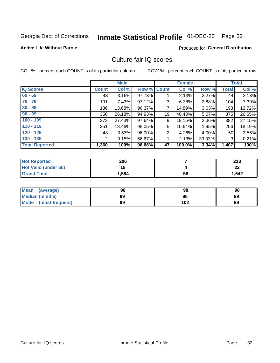## Inmate Statistical Profile 01-DEC-20 Page 32

#### **Active Life Without Parole**

#### **Produced for General Distribution**

### Culture fair IQ scores

COL % - percent each COUNT is of its particular column

|                       |              | <b>Male</b> |        |                | <b>Female</b> |          |              | <b>Total</b> |
|-----------------------|--------------|-------------|--------|----------------|---------------|----------|--------------|--------------|
| <b>IQ Scores</b>      | <b>Count</b> | Col %       | Row %  | <b>Count</b>   | Col %         | Row %    | <b>Total</b> | Col %        |
| $60 - 69$             | 43           | 3.16%       | 97.73% |                | 2.13%         | $2.27\%$ | 44           | 3.13%        |
| $70 - 79$             | 101          | 7.43%       | 97.12% | 3              | 6.38%         | 2.88%    | 104          | 7.39%        |
| $80 - 89$             | 186          | 13.68%      | 96.37% | 7              | 14.89%        | $3.63\%$ | 193          | 13.72%       |
| $90 - 99$             | 356          | 26.18%      | 94.93% | 19             | 40.43%        | $5.07\%$ | 375          | 26.65%       |
| $100 - 109$           | 373          | 27.43%      | 97.64% | 9              | 19.15%        | 2.36%    | 382          | 27.15%       |
| $110 - 119$           | 251          | 18.46%      | 98.05% | 5              | 10.64%        | 1.95%    | 256          | 18.19%       |
| $120 - 129$           | 48           | 3.53%       | 96.00% | $\overline{2}$ | 4.26%         | $4.00\%$ | 50           | 3.55%        |
| $130 - 139$           | 2            | 0.15%       | 66.67% | 1              | 2.13%         | 33.33%   | 3            | 0.21%        |
| <b>Total Reported</b> | 1,360        | 100%        | 96.66% | 47             | 100.0%        | 3.34%    | 1,407        | 100%         |

| <b>Not Reported</b>  | 206   |    | つイつ<br>2 I J |
|----------------------|-------|----|--------------|
| Not Valid (under 60) | 18    |    | ົ<br>LL      |
| <b>Grand Total</b>   | 1,584 | 58 | 1,642        |

| <b>Mean</b><br>(average) | 98 | 98  | 98 |
|--------------------------|----|-----|----|
| Median (middle)          | 99 | 96  | 99 |
| Mode (most frequent)     | 99 | 102 | 99 |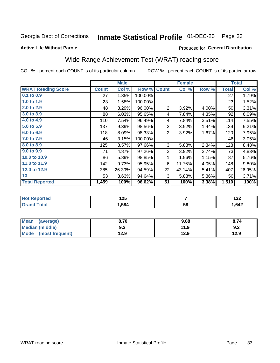#### Inmate Statistical Profile 01-DEC-20 Page 33

#### **Active Life Without Parole**

#### **Produced for General Distribution**

## Wide Range Achievement Test (WRAT) reading score

COL % - percent each COUNT is of its particular column

|                           |              | <b>Male</b> |         |                | <b>Female</b> |       |              | <b>Total</b> |
|---------------------------|--------------|-------------|---------|----------------|---------------|-------|--------------|--------------|
| <b>WRAT Reading Score</b> | <b>Count</b> | Col %       | Row %   | <b>Count</b>   | Col %         | Row % | <b>Total</b> | Col %        |
| 0.1 to 0.9                | 27           | 1.85%       | 100.00% |                |               |       | 27           | 1.79%        |
| 1.0 to 1.9                | 23           | 1.58%       | 100.00% |                |               |       | 23           | 1.52%        |
| 2.0 to 2.9                | 48           | 3.29%       | 96.00%  | $\overline{2}$ | 3.92%         | 4.00% | 50           | 3.31%        |
| 3.0 to 3.9                | 88           | 6.03%       | 95.65%  | 4              | 7.84%         | 4.35% | 92           | 6.09%        |
| 4.0 to 4.9                | 110          | 7.54%       | 96.49%  | 4              | 7.84%         | 3.51% | 114          | 7.55%        |
| 5.0 to 5.9                | 137          | 9.39%       | 98.56%  | $\overline{2}$ | 3.92%         | 1.44% | 139          | 9.21%        |
| 6.0 to 6.9                | 118          | 8.09%       | 98.33%  | $\overline{2}$ | 3.92%         | 1.67% | 120          | 7.95%        |
| 7.0 to 7.9                | 46           | 3.15%       | 100.00% |                |               |       | 46           | 3.05%        |
| 8.0 to 8.9                | 125          | 8.57%       | 97.66%  | 3              | 5.88%         | 2.34% | 128          | 8.48%        |
| 9.0 to 9.9                | 71           | 4.87%       | 97.26%  | $\overline{2}$ | 3.92%         | 2.74% | 73           | 4.83%        |
| 10.0 to 10.9              | 86           | 5.89%       | 98.85%  | 1              | 1.96%         | 1.15% | 87           | 5.76%        |
| 11.0 to 11.9              | 142          | 9.73%       | 95.95%  | 6              | 11.76%        | 4.05% | 148          | 9.80%        |
| 12.0 to 12.9              | 385          | 26.39%      | 94.59%  | 22             | 43.14%        | 5.41% | 407          | 26.95%       |
| 13                        | 53           | 3.63%       | 94.64%  | 3              | 5.88%         | 5.36% | 56           | 3.71%        |
| <b>Total Reported</b>     | 1,459        | 100%        | 96.62%  | 51             | 100%          | 3.38% | 1,510        | 100%         |

| <b>Not Reported</b>   | 1 つに<br>ن 1 |    | <br>IJZ. |
|-----------------------|-------------|----|----------|
| <b>Total</b><br>Grand | 584,        | 58 | 1,642    |

| <b>Mean</b><br>(average)       | 8.70         | 9.88 | 8.74 |
|--------------------------------|--------------|------|------|
| <b>Median (middle)</b>         | י ה<br>้ ⊎.∠ | 11.9 | 9.2  |
| <b>Mode</b><br>(most frequent) | 12.9         | 12.9 | 12.9 |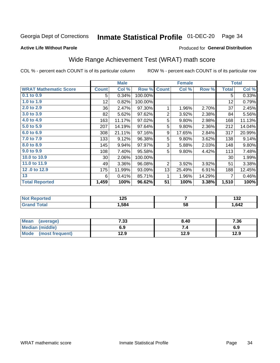#### Inmate Statistical Profile 01-DEC-20 Page 34

**Active Life Without Parole** 

#### Produced for General Distribution

## Wide Range Achievement Test (WRAT) math score

COL % - percent each COUNT is of its particular column

|                              |                 | <b>Male</b> |         |                | <b>Female</b> |        |              | <b>Total</b> |
|------------------------------|-----------------|-------------|---------|----------------|---------------|--------|--------------|--------------|
| <b>WRAT Mathematic Score</b> | <b>Count</b>    | Col %       | Row %   | <b>Count</b>   | Col %         | Row %  | <b>Total</b> | Col %        |
| 0.1 to 0.9                   | 5               | 0.34%       | 100.00% |                |               |        | 5            | 0.33%        |
| 1.0 to 1.9                   | 12 <sub>2</sub> | 0.82%       | 100.00% |                |               |        | 12           | 0.79%        |
| 2.0 to 2.9                   | 36              | 2.47%       | 97.30%  | 1              | 1.96%         | 2.70%  | 37           | 2.45%        |
| 3.0 to 3.9                   | 82              | 5.62%       | 97.62%  | $\overline{2}$ | 3.92%         | 2.38%  | 84           | 5.56%        |
| 4.0 to 4.9                   | 163             | 11.17%      | 97.02%  | 5              | 9.80%         | 2.98%  | 168          | 11.13%       |
| 5.0 to 5.9                   | 207             | 14.19%      | 97.64%  | 5              | 9.80%         | 2.36%  | 212          | 14.04%       |
| 6.0 to 6.9                   | 308             | 21.11%      | 97.16%  | 9              | 17.65%        | 2.84%  | 317          | 20.99%       |
| 7.0 to 7.9                   | 133             | 9.12%       | 96.38%  | 5              | 9.80%         | 3.62%  | 138          | 9.14%        |
| 8.0 to 8.9                   | 145             | 9.94%       | 97.97%  | 3              | 5.88%         | 2.03%  | 148          | 9.80%        |
| 9.0 to 9.9                   | 108             | 7.40%       | 95.58%  | 5              | 9.80%         | 4.42%  | 113          | 7.48%        |
| 10.0 to 10.9                 | 30 <sup>°</sup> | 2.06%       | 100.00% |                |               |        | 30           | 1.99%        |
| 11.0 to 11.9                 | 49              | 3.36%       | 96.08%  | $\overline{2}$ | 3.92%         | 3.92%  | 51           | 3.38%        |
| 12.0 to 12.9                 | 175             | 11.99%      | 93.09%  | 13             | 25.49%        | 6.91%  | 188          | 12.45%       |
| 13                           | 6               | 0.41%       | 85.71%  | 1              | 1.96%         | 14.29% | 7            | 0.46%        |
| <b>Total Reported</b>        | 1,459           | 100%        | 96.62%  | 51             | 100%          | 3.38%  | 1,510        | 100%         |

| Reported    | א ה  |    | 100  |
|-------------|------|----|------|
| <b>NO</b> t | 14J  |    | IJL  |
| ota.        | .584 | 58 | ,642 |

| <b>Mean</b><br>(average) | 7.33 | 8.40 | 7.36 |
|--------------------------|------|------|------|
| Median (middle)          | 6.9  | ۰.,  | 6.9  |
| Mode<br>(most frequent)  | 12.9 | 12.9 | 12.9 |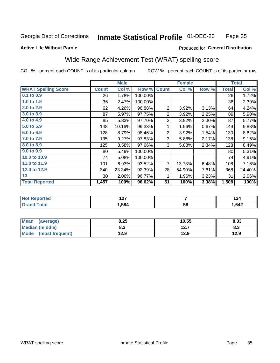#### Inmate Statistical Profile 01-DEC-20 Page 35

#### **Active Life Without Parole**

#### Produced for General Distribution

## Wide Range Achievement Test (WRAT) spelling score

COL % - percent each COUNT is of its particular column

|                            |              | <b>Male</b> |         |                 | <b>Female</b>  |       |              | <b>Total</b> |
|----------------------------|--------------|-------------|---------|-----------------|----------------|-------|--------------|--------------|
| <b>WRAT Spelling Score</b> | <b>Count</b> | Col %       | Row %   | <b>Count</b>    | Col %          | Row % | <b>Total</b> | Col %        |
| 0.1 to 0.9                 | 26           | 1.78%       | 100.00% |                 |                |       | 26           | 1.72%        |
| 1.0 to 1.9                 | 36           | 2.47%       | 100.00% |                 |                |       | 36           | 2.39%        |
| 2.0 to 2.9                 | 62           | 4.26%       | 96.88%  | $\overline{2}$  | 3.92%          | 3.13% | 64           | 4.24%        |
| 3.0 to 3.9                 | 87           | 5.97%       | 97.75%  | 2               | 3.92%          | 2.25% | 89           | 5.90%        |
| 4.0 to 4.9                 | 85           | 5.83%       | 97.70%  | $\overline{c}$  | 3.92%          | 2.30% | 87           | 5.77%        |
| 5.0 to 5.9                 | 148          | 10.16%      | 99.33%  | 1               | 1.96%          | 0.67% | 149          | 9.88%        |
| 6.0 to 6.9                 | 128          | 8.79%       | 98.46%  | 2               | 3.92%          | 1.54% | 130          | 8.62%        |
| 7.0 to 7.9                 | 135          | 9.27%       | 97.83%  | 3               | 5.88%          | 2.17% | 138          | 9.15%        |
| 8.0 to 8.9                 | 125          | 8.58%       | 97.66%  | 3               | 5.88%          | 2.34% | 128          | 8.49%        |
| 9.0 to 9.9                 | 80           | 5.49%       | 100.00% |                 |                |       | 80           | 5.31%        |
| 10.0 to 10.9               | 74           | 5.08%       | 100.00% |                 |                |       | 74           | 4.91%        |
| 11.0 to 11.9               | 101          | 6.93%       | 93.52%  | $\overline{7}$  | 13.73%         | 6.48% | 108          | 7.16%        |
| 12.0 to 12.9               | 340          | 23.34%      | 92.39%  | 28              | 54.90%         | 7.61% | 368          | 24.40%       |
| 13                         | 30           | 2.06%       | 96.77%  | 1               | 1.96%          | 3.23% | 31           | 2.06%        |
| <b>Total Reported</b>      | 1,457        | 100%        | 96.62%  | $\overline{51}$ | 100%           | 3.38% | 1,508        | 100%         |
|                            |              |             |         |                 |                |       |              |              |
| <b>Not Reported</b>        |              | 127         |         |                 | $\overline{7}$ |       |              | 134          |
| <b>Grand Total</b>         |              | 1,584       |         |                 | 58             |       |              | 1,642        |

| <b>Mean</b><br>(average)       | 8.25 | 10.55    | 8.33 |
|--------------------------------|------|----------|------|
| <b>Median (middle)</b>         | o.J  | 1つつ<br>. | ი.ა  |
| <b>Mode</b><br>(most frequent) | 12.9 | 12.9     | 12.9 |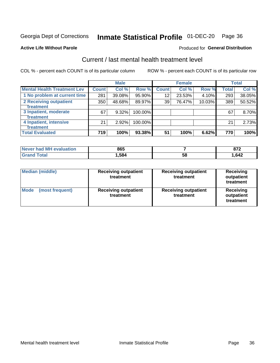## Inmate Statistical Profile 01-DEC-20 Page 36

#### **Active Life Without Parole**

#### Produced for General Distribution

## Current / last mental health treatment level

COL % - percent each COUNT is of its particular column

|                                    |              | <b>Male</b> |         |                    | <b>Female</b> |        |              | <b>Total</b> |
|------------------------------------|--------------|-------------|---------|--------------------|---------------|--------|--------------|--------------|
| <b>Mental Health Treatment Lev</b> | <b>Count</b> | Col %       | Row %   | Count <sup>1</sup> | Col%          | Row %  | <b>Total</b> | Col %        |
| 1 No problem at current time       | 281          | 39.08%      | 95.90%  | 12                 | 23.53%        | 4.10%  | 293          | 38.05%       |
| 2 Receiving outpatient             | 350          | 48.68%      | 89.97%  | 39                 | 76.47%        | 10.03% | 389          | 50.52%       |
| <b>Treatment</b>                   |              |             |         |                    |               |        |              |              |
| 3 Inpatient, moderate              | 67           | 9.32%       | 100.00% |                    |               |        | 67           | 8.70%        |
| <b>Treatment</b>                   |              |             |         |                    |               |        |              |              |
| 4 Inpatient, intensive             | 21           | $2.92\%$    | 100.00% |                    |               |        | 21           | 2.73%        |
| <b>Treatment</b>                   |              |             |         |                    |               |        |              |              |
| <b>Total Evaluated</b>             | 719          | 100%        | 93.38%  | 51                 | 100%          | 6.62%  | 770          | 100%         |

| Never had MH evaluation | 865  |    | 0.7c |
|-------------------------|------|----|------|
|                         | .584 | ວ໐ | ,642 |

| <b>Median (middle)</b>         | <b>Receiving outpatient</b><br>treatment | <b>Receiving outpatient</b><br>treatment | <b>Receiving</b><br>outpatient<br>treatment |  |  |
|--------------------------------|------------------------------------------|------------------------------------------|---------------------------------------------|--|--|
| <b>Mode</b><br>(most frequent) | <b>Receiving outpatient</b><br>treatment | <b>Receiving outpatient</b><br>treatment | <b>Receiving</b><br>outpatient<br>treatment |  |  |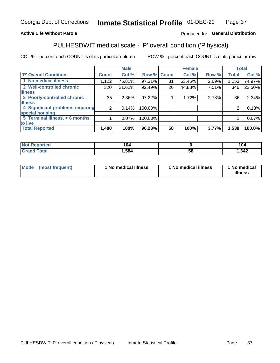#### Inmate Statistical Profile 01-DEC-20 Page 37

#### **Active Life Without Parole**

#### Produced for General Distribution

## PULHESDWIT medical scale - 'P' overall condition ('P'hysical)

COL % - percent each COUNT is of its particular column

|                                  |                | <b>Male</b> |         |              | <b>Female</b> |       |                | <b>Total</b> |
|----------------------------------|----------------|-------------|---------|--------------|---------------|-------|----------------|--------------|
| 'P' Overall Condition            | <b>Count</b>   | Col %       | Row %   | <b>Count</b> | Col %         | Row % | Total          | Col %        |
| 1 No medical illness             | 1,122          | 75.81%      | 97.31%  | 31           | 53.45%        | 2.69% | 1,153          | 74.97%       |
| 2 Well-controlled chronic        | 320            | 21.62%      | 92.49%  | 26           | 44.83%        | 7.51% | 346            | 22.50%       |
| <b>lillness</b>                  |                |             |         |              |               |       |                |              |
| 3 Poorly-controlled chronic      | 35             | 2.36%       | 97.22%  |              | 1.72%         | 2.78% | 36             | 2.34%        |
| <b>illness</b>                   |                |             |         |              |               |       |                |              |
| 4 Significant problems requiring | $\overline{2}$ | 0.14%       | 100.00% |              |               |       | $\overline{2}$ | 0.13%        |
| special housing                  |                |             |         |              |               |       |                |              |
| 5 Terminal illness, $<$ 6 months |                | $0.07\%$    | 100.00% |              |               |       |                | 0.07%        |
| to live                          |                |             |         |              |               |       |                |              |
| <b>Total Reported</b>            | 1,480          | 100%        | 96.23%  | 58           | 100%          | 3.77% | 1,538          | 100.0%       |

| rtea<br>.            | 104  |    | 104  |
|----------------------|------|----|------|
| $5 - 6 - 1$<br>_____ | ,584 | Эč | ,642 |

|  |  | Mode (most frequent) | 1 No medical illness | 1 No medical illness | 1 No medical<br>illness |
|--|--|----------------------|----------------------|----------------------|-------------------------|
|--|--|----------------------|----------------------|----------------------|-------------------------|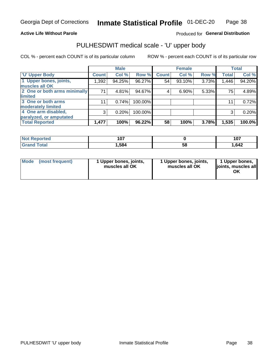#### **Active Life Without Parole**

### Produced for General Distribution

## PULHESDWIT medical scale - 'U' upper body

COL % - percent each COUNT is of its particular column

|                              |              | <b>Male</b> |         |              | <b>Female</b> |       |              | <b>Total</b> |
|------------------------------|--------------|-------------|---------|--------------|---------------|-------|--------------|--------------|
| <b>'U' Upper Body</b>        | <b>Count</b> | Col %       | Row %   | <b>Count</b> | Col %         | Row % | <b>Total</b> | Col %        |
| 1 Upper bones, joints,       | 1,392        | 94.25%      | 96.27%  | 54           | 93.10%        | 3.73% | 1,446        | 94.20%       |
| muscles all OK               |              |             |         |              |               |       |              |              |
| 2 One or both arms minimally | 71           | 4.81%       | 94.67%  | 4            | 6.90%         | 5.33% | 75           | 4.89%        |
| limited                      |              |             |         |              |               |       |              |              |
| 3 One or both arms           | 11           | 0.74%       | 100.00% |              |               |       | 11           | 0.72%        |
| moderately limited           |              |             |         |              |               |       |              |              |
| 4 One arm disabled,          | 3            | 0.20%       | 100.00% |              |               |       | 3            | 0.20%        |
| paralyzed, or amputated      |              |             |         |              |               |       |              |              |
| <b>Total Reported</b>        | 1,477        | 100%        | 96.22%  | 58           | 100%          | 3.78% | 1,535        | 100.0%       |

| <b>Not Reported</b> | 1 N.Z<br>ו טו |    | 4 A 7<br>1 V 1 |
|---------------------|---------------|----|----------------|
| <b>Total</b>        | 584، ا        | 58 | ,642           |

| Mode | (most frequent) | l Upper bones, joints,<br>muscles all OK | 1 Upper bones, joints,<br>muscles all OK | 1 Upper bones,<br>ljoints, muscles all<br>ОK |
|------|-----------------|------------------------------------------|------------------------------------------|----------------------------------------------|
|------|-----------------|------------------------------------------|------------------------------------------|----------------------------------------------|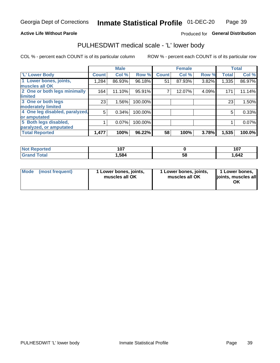#### **Active Life Without Parole**

#### Produced for General Distribution

## PULHESDWIT medical scale - 'L' lower body

COL % - percent each COUNT is of its particular column

|                                |              | <b>Male</b> |         |              | <b>Female</b> |       |              | <b>Total</b> |
|--------------------------------|--------------|-------------|---------|--------------|---------------|-------|--------------|--------------|
| 'L' Lower Body                 | <b>Count</b> | Col %       | Row %   | <b>Count</b> | Col %         | Row % | <b>Total</b> | Col %        |
| 1 Lower bones, joints,         | 1,284        | 86.93%      | 96.18%  | 51           | 87.93%        | 3.82% | 1,335        | 86.97%       |
| muscles all OK                 |              |             |         |              |               |       |              |              |
| 2 One or both legs minimally   | 164          | 11.10%      | 95.91%  |              | 12.07%        | 4.09% | 171          | 11.14%       |
| limited                        |              |             |         |              |               |       |              |              |
| 3 One or both legs             | 23           | 1.56%       | 100.00% |              |               |       | 23           | 1.50%        |
| moderately limited             |              |             |         |              |               |       |              |              |
| 4 One leg disabled, paralyzed, | 5            | 0.34%       | 100.00% |              |               |       | 5            | 0.33%        |
| or amputated                   |              |             |         |              |               |       |              |              |
| 5 Both legs disabled,          |              | 0.07%       | 100.00% |              |               |       |              | 0.07%        |
| paralyzed, or amputated        |              |             |         |              |               |       |              |              |
| <b>Total Reported</b>          | 1,477        | 100%        | 96.22%  | 58           | 100%          | 3.78% | 1,535        | 100.0%       |

| <b>Not Reported</b> | - 57<br>וטו |    | 107  |
|---------------------|-------------|----|------|
| <b>Grand Total</b>  | 1,584       | ວັ | .642 |

| Mode | (most frequent) | 1 Lower bones, joints,<br>muscles all OK | 1 Lower bones, joints,<br>muscles all OK | 1 Lower bones,<br>joints, muscles all<br>ΟK |
|------|-----------------|------------------------------------------|------------------------------------------|---------------------------------------------|
|------|-----------------|------------------------------------------|------------------------------------------|---------------------------------------------|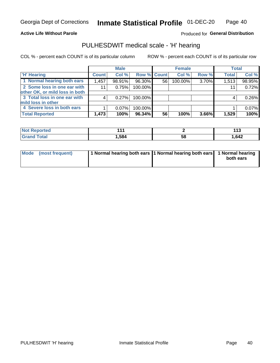#### **Active Life Without Parole**

Produced for General Distribution

### PULHESDWIT medical scale - 'H' hearing

COL % - percent each COUNT is of its particular column

|                                |              | <b>Male</b> |             |    | <b>Female</b> |       | <b>Total</b> |        |
|--------------------------------|--------------|-------------|-------------|----|---------------|-------|--------------|--------|
| <b>H' Hearing</b>              | <b>Count</b> | Col %       | Row % Count |    | Col %         | Row % | <b>Total</b> | Col %  |
| 1 Normal hearing both ears     | 1,457        | 98.91%      | 96.30%      | 56 | 100.00%       | 3.70% | 1,513        | 98.95% |
| 2 Some loss in one ear with    | 11           | 0.75%       | 100.00%     |    |               |       | 11           | 0.72%  |
| other OK, or mild loss in both |              |             |             |    |               |       |              |        |
| 3 Total loss in one ear with   | 4            | 0.27%       | 100.00%     |    |               |       | 4            | 0.26%  |
| mild loss in other             |              |             |             |    |               |       |              |        |
| 4 Severe loss in both ears     |              | $0.07\%$    | 100.00%     |    |               |       |              | 0.07%  |
| <b>Total Reported</b>          | 1,473        | 100%        | 96.34%      | 56 | 100%          | 3.66% | 1,529        | 100%   |

| N<br>тео | .   |    | טוו   |
|----------|-----|----|-------|
| ______   | 584 | აა | 1,642 |

| Mode (most frequent) | 1 Normal hearing both ears 1 Normal hearing both ears 1 Normal hearing | both ears |
|----------------------|------------------------------------------------------------------------|-----------|
|                      |                                                                        |           |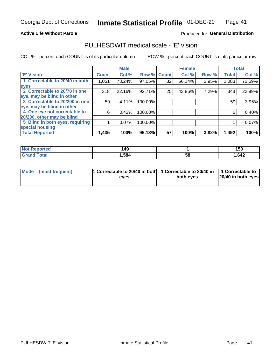#### **Active Life Without Parole**

#### Produced for General Distribution

### PULHESDWIT medical scale - 'E' vision

COL % - percent each COUNT is of its particular column

|                                 |              | <b>Male</b> |         |              | <b>Female</b> |       |              | <b>Total</b> |
|---------------------------------|--------------|-------------|---------|--------------|---------------|-------|--------------|--------------|
| <b>E' Vision</b>                | <b>Count</b> | Col %       | Row %   | <b>Count</b> | Col %         | Row % | <b>Total</b> | Col %        |
| 1 Correctable to 20/40 in both  | 1,051        | 73.24%      | 97.05%  | 32           | 56.14%        | 2.95% | 1,083        | 72.59%       |
| eyes                            |              |             |         |              |               |       |              |              |
| 2 Correctable to 20/70 in one   | 318          | 22.16%      | 92.71%  | 25           | 43.86%        | 7.29% | 343          | 22.99%       |
| eye, may be blind in other      |              |             |         |              |               |       |              |              |
| 3 Correctable to 20/200 in one  | 59           | 4.11%       | 100.00% |              |               |       | 59           | 3.95%        |
| eye, may be blind in other      |              |             |         |              |               |       |              |              |
| 4 One eye not correctable to    | 6            | 0.42%       | 100.00% |              |               |       | 6            | 0.40%        |
| 20/200, other may be blind      |              |             |         |              |               |       |              |              |
| 5 Blind in both eyes, requiring |              | 0.07%       | 100.00% |              |               |       |              | 0.07%        |
| special housing                 |              |             |         |              |               |       |              |              |
| <b>Total Reported</b>           | 1,435        | 100%        | 96.18%  | 57           | 100%          | 3.82% | 1,492        | 100%         |

| Reported<br><b>NOT</b> | 49،  |    | 150  |
|------------------------|------|----|------|
| $\mathsf{total}$       | ,584 | 58 | ,642 |

| Mode (most frequent) | 1 Correctable to 20/40 in both<br>eves | 1 Correctable to 20/40 in   1 Correctable to  <br>both eyes | 20/40 in both eyes |
|----------------------|----------------------------------------|-------------------------------------------------------------|--------------------|
|                      |                                        |                                                             |                    |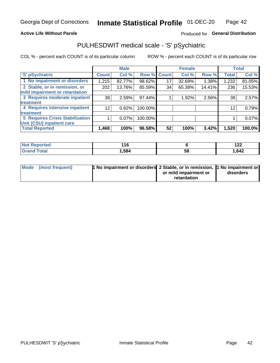#### **Active Life Without Parole**

#### Produced for General Distribution

## PULHESDWIT medical scale - 'S' pSychiatric

COL % - percent each COUNT is of its particular column

|                                        |                 | <b>Male</b> |         |             | <b>Female</b> |        |              | <b>Total</b> |
|----------------------------------------|-----------------|-------------|---------|-------------|---------------|--------|--------------|--------------|
| 'S' pSychiatric                        | <b>Count</b>    | Col %       |         | Row % Count | Col %         | Row %  | <b>Total</b> | Col %        |
| 1 No impairment or disorders           | 1,215           | 82.77%      | 98.62%  | 17          | 32.69%        | 1.38%  | 1,232        | 81.05%       |
| 2 Stable, or in remission, or          | 202             | 13.76%      | 85.59%  | 34          | 65.38%        | 14.41% | 236          | 15.53%       |
| mild impairment or retardation         |                 |             |         |             |               |        |              |              |
| 3 Requires moderate inpatient          | 38              | 2.59%       | 97.44%  |             | 1.92%         | 2.56%  | 39           | 2.57%        |
| treatment                              |                 |             |         |             |               |        |              |              |
| 4 Requires intensive inpatient         | 12 <sub>1</sub> | 0.82%       | 100.00% |             |               |        | 12           | 0.79%        |
| treatment                              |                 |             |         |             |               |        |              |              |
| <b>5 Requires Crisis Stabilization</b> |                 | $0.07\%$    | 100.00% |             |               |        |              | 0.07%        |
| Unit (CSU) inpatient care              |                 |             |         |             |               |        |              |              |
| <b>Total Reported</b>                  | 1,468           | 100%        | 96.58%  | 52          | 100%          | 3.42%  | 1,520        | 100.0%       |

| ੋ≌orted<br><b>NOT</b><br>Renoi | 11C<br>$\sim$ |    | 100<br>175 |
|--------------------------------|---------------|----|------------|
| <b>Total</b>                   | ,584          | 58 | 642, ا     |

| Mode (most frequent) | <b>1 No impairment or disorders</b> 2 Stable, or in remission, 11 No impairment or |                       |           |
|----------------------|------------------------------------------------------------------------------------|-----------------------|-----------|
|                      |                                                                                    | or mild impairment or | disorders |
|                      |                                                                                    | retardation           |           |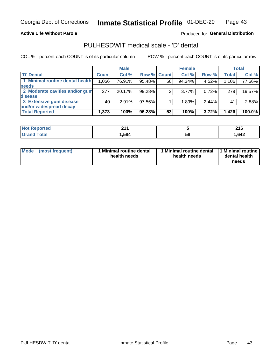#### **Active Life Without Parole**

Produced for General Distribution

## PULHESDWIT medical scale - 'D' dental

COL % - percent each COUNT is of its particular column

|                                 |              | <b>Male</b> |                    |    | <b>Female</b> |          |              | <b>Total</b> |
|---------------------------------|--------------|-------------|--------------------|----|---------------|----------|--------------|--------------|
| 'D' Dental                      | <b>Count</b> | Col %       | <b>Row % Count</b> |    | Col %         | Row %    | <b>Total</b> | Col %        |
| 1 Minimal routine dental health | 1,056        | 76.91%      | 95.48%             | 50 | 94.34%        | 4.52%    | 1,106        | 77.56%       |
| <b>needs</b>                    |              |             |                    |    |               |          |              |              |
| 2 Moderate cavities and/or gum  | 277          | 20.17%      | 99.28%             |    | $3.77\%$      | 0.72%    | 279          | 19.57%       |
| disease                         |              |             |                    |    |               |          |              |              |
| 3 Extensive gum disease         | 40           | 2.91%       | 97.56%             |    | 1.89%         | $2.44\%$ | 41           | 2.88%        |
| and/or widespread decay         |              |             |                    |    |               |          |              |              |
| <b>Total Reported</b>           | 1,373        | 100%        | $96.28\%$          | 53 | 100%          | 3.72%    | 1,426        | 100.0%       |

| prtea<br>NOT R<br> | 24<br>. |    | 24C<br>2 I U |
|--------------------|---------|----|--------------|
| <b>cotal</b>       | 584,    | 58 | .642         |

| <b>Mode</b><br><b>Minimal routine dental</b><br>(most frequent)<br>health needs | Minimal routine dental<br>health needs | 1 Minimal routine<br>dental health<br>needs |
|---------------------------------------------------------------------------------|----------------------------------------|---------------------------------------------|
|---------------------------------------------------------------------------------|----------------------------------------|---------------------------------------------|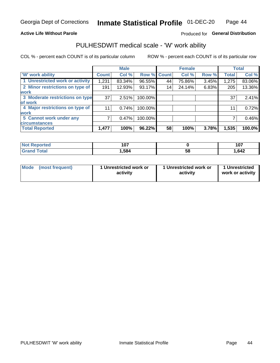#### **Active Life Without Parole**

#### Produced for General Distribution

### PULHESDWIT medical scale - 'W' work ability

COL % - percent each COUNT is of its particular column

|                                 |              | <b>Male</b> |         |             | <b>Female</b> |       |              | <b>Total</b> |
|---------------------------------|--------------|-------------|---------|-------------|---------------|-------|--------------|--------------|
| <b>W' work ability</b>          | <b>Count</b> | Col %       |         | Row % Count | Col %         | Row % | <b>Total</b> | Col %        |
| 1 Unrestricted work or activity | 1,231        | 83.34%      | 96.55%  | 44          | 75.86%        | 3.45% | 1,275        | 83.06%       |
| 2 Minor restrictions on type of | 191          | 12.93%      | 93.17%  | 14          | 24.14%        | 6.83% | 205          | 13.36%       |
| <b>work</b>                     |              |             |         |             |               |       |              |              |
| 3 Moderate restrictions on type | 37           | 2.51%       | 100.00% |             |               |       | 37           | 2.41%        |
| lof work                        |              |             |         |             |               |       |              |              |
| 4 Major restrictions on type of | 11           | 0.74%       | 100.00% |             |               |       | 11           | 0.72%        |
| <b>work</b>                     |              |             |         |             |               |       |              |              |
| 5 Cannot work under any         |              | 0.47%       | 100.00% |             |               |       |              | 0.46%        |
| <b>circumstances</b>            |              |             |         |             |               |       |              |              |
| <b>Total Reported</b>           | 1,477        | 100%        | 96.22%  | 58          | 100%          | 3.78% | 1,535        | 100.0%       |

| <b>Not Reported</b>  | 107<br>1 V I |   | 107  |
|----------------------|--------------|---|------|
| <b>Total</b><br>Cron | 584. ا       | ວ | .642 |

| Mode (most frequent) | 1 Unrestricted work or | 1 Unrestricted work or | 1 Unrestricted   |
|----------------------|------------------------|------------------------|------------------|
|                      | activity               | activity               | work or activity |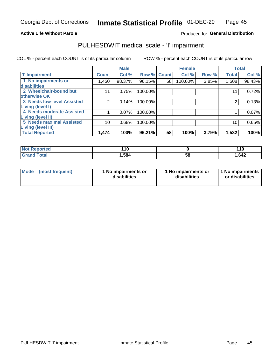#### **Active Life Without Parole**

#### Produced for General Distribution

## PULHESDWIT medical scale - 'I' impairment

COL % - percent each COUNT is of its particular column ROW % - percent each COUNT is of its particular row

|                                                             |              | <b>Male</b> |                    |    | <b>Female</b> |       |              | <b>Total</b> |
|-------------------------------------------------------------|--------------|-------------|--------------------|----|---------------|-------|--------------|--------------|
| <b>T' Impairment</b>                                        | <b>Count</b> | Col %       | <b>Row % Count</b> |    | Col %         | Row % | <b>Total</b> | Col %        |
| 1 No impairments or<br>disabilities                         | 1,450        | 98.37%      | 96.15%             | 58 | 100.00%       | 3.85% | 1,508        | 98.43%       |
| 2 Wheelchair-bound but                                      |              | 0.75%       | 100.00%            |    |               |       | 11           | 0.72%        |
| otherwise OK                                                |              |             |                    |    |               |       |              |              |
| <b>3 Needs low-level Assisted</b><br>Living (level I)       |              | 0.14%       | 100.00%            |    |               |       |              | 0.13%        |
| 4 Needs moderate Assisted                                   |              | 0.07%       | 100.00%            |    |               |       |              | 0.07%        |
| <b>Living (level II)</b><br><b>5 Needs maximal Assisted</b> |              |             |                    |    |               |       |              |              |
| <b>Living (level III)</b>                                   | 10           | 0.68%       | 100.00%            |    |               |       | 10           | 0.65%        |
| <b>Total Reported</b>                                       | 1,474        | 100%        | 96.21%             | 58 | 100%          | 3.79% | 1,532        | 100%         |

| Reported<br>NOT | 110  |        | 110   |
|-----------------|------|--------|-------|
| <b>Fotal</b>    | .584 | <br>Ⴢჾ | 1,642 |

| <b>Mode</b> | (most frequent) | <b>No impairments or</b><br>disabilities | 1 No impairments or<br>disabilities | 1 No impairments<br>or disabilities |
|-------------|-----------------|------------------------------------------|-------------------------------------|-------------------------------------|
|-------------|-----------------|------------------------------------------|-------------------------------------|-------------------------------------|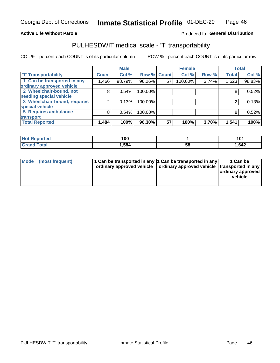#### **Active Life Without Parole**

### Produced fo General Distribution

## PULHESDWIT medical scale - 'T' transportability

COL % - percent each COUNT is of its particular column

|                              |              | <b>Male</b> |                    |    | <b>Female</b> |       |              | <b>Total</b> |
|------------------------------|--------------|-------------|--------------------|----|---------------|-------|--------------|--------------|
| <b>T' Transportability</b>   | <b>Count</b> | Col %       | <b>Row % Count</b> |    | Col %         | Row % | <b>Total</b> | Col %        |
| 1 Can be transported in any  | 1,466        | 98.79%      | 96.26%             | 57 | 100.00%       | 3.74% | 1,523        | 98.83%       |
| ordinary approved vehicle    |              |             |                    |    |               |       |              |              |
| 2 Wheelchair-bound, not      | 8            | 0.54%       | 100.00%            |    |               |       |              | 0.52%        |
| needing special vehicle      |              |             |                    |    |               |       |              |              |
| 3 Wheelchair-bound, requires |              | 0.13%       | 100.00%            |    |               |       |              | 0.13%        |
| special vehicle              |              |             |                    |    |               |       |              |              |
| 5 Requires ambulance         | 8            | 0.54%       | 100.00%            |    |               |       |              | 0.52%        |
| transport                    |              |             |                    |    |               |       |              |              |
| <b>Total Reported</b>        | 1,484        | 100%        | 96.30%             | 57 | 100%          | 3.70% | 1,541        | 100%         |

| orted        | 100  |    | 10 $\cdot$ |
|--------------|------|----|------------|
| <b>Total</b> | .584 | 58 | 1,642      |

| <b>Mode</b> | (most frequent) | 1 Can be transported in any 1 Can be transported in any<br>ordinary approved vehicle   ordinary approved vehicle   transported in any |  | 1 Can be<br>  ordinary approved  <br>vehicle |
|-------------|-----------------|---------------------------------------------------------------------------------------------------------------------------------------|--|----------------------------------------------|
|-------------|-----------------|---------------------------------------------------------------------------------------------------------------------------------------|--|----------------------------------------------|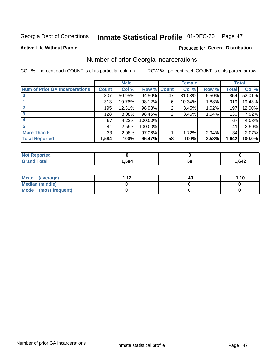## Inmate Statistical Profile 01-DEC-20 Page 47

#### **Active Life Without Parole**

#### **Produced for General Distribution**

### Number of prior Georgia incarcerations

COL % - percent each COUNT is of its particular column

|                                       |              | <b>Male</b> |                    |    | <b>Female</b> |       |       | <b>Total</b> |
|---------------------------------------|--------------|-------------|--------------------|----|---------------|-------|-------|--------------|
| <b>Num of Prior GA Incarcerations</b> | <b>Count</b> | Col %       | <b>Row % Count</b> |    | Col %         | Row % | Total | Col %        |
|                                       | 807          | 50.95%      | 94.50%             | 47 | 81.03%        | 5.50% | 854   | 52.01%       |
|                                       | 313          | 19.76%      | 98.12%             | 6  | 10.34%        | 1.88% | 319   | 19.43%       |
|                                       | 195          | 12.31%      | 98.98%             | 2  | 3.45%         | 1.02% | 197   | 12.00%       |
| 3                                     | 128          | 8.08%       | 98.46%             | 2  | 3.45%         | 1.54% | 130   | 7.92%        |
| 4                                     | 67           | 4.23%       | 100.00%            |    |               |       | 67    | 4.08%        |
| 5                                     | 41           | 2.59%       | 100.00%            |    |               |       | 41    | 2.50%        |
| <b>More Than 5</b>                    | 33           | 2.08%       | 97.06%             |    | 1.72%         | 2.94% | 34    | 2.07%        |
| <b>Total Reported</b>                 | 1,584        | 100%        | 96.47%             | 58 | 100%          | 3.53% | 1,642 | 100.0%       |

| <b>orted</b><br><b>NI</b> |      |            |      |
|---------------------------|------|------------|------|
| `otal<br>$\mathbf{v}$ and | .584 | - 12<br>JL | ,642 |

| Mean (average)       | 1 1 J | .40 | 1.10 |
|----------------------|-------|-----|------|
| Median (middle)      |       |     |      |
| Mode (most frequent) |       |     |      |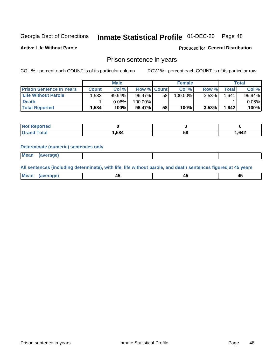## Inmate Statistical Profile 01-DEC-20 Page 48

**Active Life Without Parole** 

Produced for General Distribution

### Prison sentence in years

COL % - percent each COUNT is of its particular column

ROW % - percent each COUNT is of its particular row

|                                 | <b>Male</b>  |          |                    |    | <b>Female</b> | Total    |       |          |
|---------------------------------|--------------|----------|--------------------|----|---------------|----------|-------|----------|
| <b>Prison Sentence In Years</b> | <b>Count</b> | Col %    | <b>Row % Count</b> |    | Col %         | Row %    | Total | Col %    |
| <b>Life Without Parole</b>      | ˈ 583.،      | 99.94%   | 96.47%             | 58 | 100.00%       | 3.53%    | 1.641 | 99.94%   |
| <b>Death</b>                    |              | $0.06\%$ | 100.00%            |    |               |          |       | $0.06\%$ |
| <b>Total Reported</b>           | 1,584        | 100%     | 96.47%             | 58 | 100%          | $3.53\%$ | 1,642 | 100%     |

| eported      |      |    |        |
|--------------|------|----|--------|
| <b>cotal</b> | .584 | วด | 642. ا |

#### **Determinate (numeric) sentences only**

| <b>Mean</b> | (average)<br>. . |  |  |
|-------------|------------------|--|--|
|             |                  |  |  |

All sentences (including determinate), with life, life without parole, and death sentences figured at 45 years

| l Mea<br>חר<br> | ᠇៶<br>$\sim$ | $\sim$ | ╌ |
|-----------------|--------------|--------|---|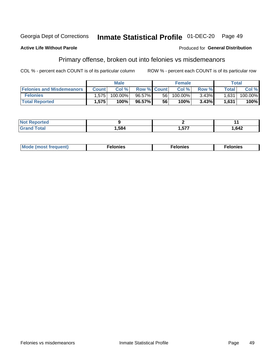#### Inmate Statistical Profile 01-DEC-20 Georgia Dept of Corrections Page 49

#### **Active Life Without Parole**

#### Produced for General Distribution

### Primary offense, broken out into felonies vs misdemeanors

COL % - percent each COUNT is of its particular column

|                                  | <b>Male</b>       |         |                    | <b>Female</b> |         |          | Total              |         |
|----------------------------------|-------------------|---------|--------------------|---------------|---------|----------|--------------------|---------|
| <b>Felonies and Misdemeanors</b> | <b>Count</b>      | Col $%$ | <b>Row % Count</b> |               | Col%    | Row %    | Total <sub>1</sub> | Col %   |
| <b>Felonies</b>                  | .575              | 100.00% | $96.57\%$          | 56            | 100.00% | $3.43\%$ | 1,631              | 100.00% |
| <b>Total Reported</b>            | $.575$ $^{\circ}$ | 100%    | 96.57%             | 56            | 100%    | 3.43%    | 1,631              | 100%    |

| <b>Not Reported</b>  |      |          |          |
|----------------------|------|----------|----------|
| <b>Total</b><br>Gran | ,584 | ヒママ<br>. | . 642، ، |

| <b>Mode</b><br>frequent)<br>nies<br>≧ (most tr.<br>. | onies<br>. | lonies<br>ею<br>____ |
|------------------------------------------------------|------------|----------------------|
|------------------------------------------------------|------------|----------------------|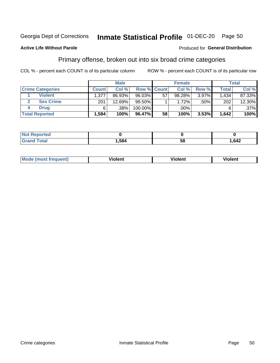#### Inmate Statistical Profile 01-DEC-20 Page 50

#### **Active Life Without Parole**

#### Produced for General Distribution

### Primary offense, broken out into six broad crime categories

COL % - percent each COUNT is of its particular column

|                         | <b>Male</b>  |        |                    |    | <b>Female</b> |          |              | Total  |  |
|-------------------------|--------------|--------|--------------------|----|---------------|----------|--------------|--------|--|
| <b>Crime Categories</b> | <b>Count</b> | Col %  | <b>Row % Count</b> |    | Col %         | Row %    | <b>Total</b> | Col %  |  |
| <b>Violent</b>          | 1,377        | 86.93% | 96.03%             | 57 | 98.28%        | $3.97\%$ | 1.434        | 87.33% |  |
| <b>Sex Crime</b>        | 201          | 12.69% | 99.50%             |    | 1.72%         | $.50\%$  | 202          | 12.30% |  |
| <b>Drug</b>             | 6            | .38%   | 100.00%            |    | .00%          |          |              | .37%   |  |
| <b>Total Reported</b>   | 1,584        | 100%   | 96.47%             | 58 | 100%          | 3.53%    | 1,642        | 100%   |  |

| .584 | 58 | 642,<br>.— |
|------|----|------------|

| <b>Mode (most frequent)</b> | .             |         | .     |
|-----------------------------|---------------|---------|-------|
|                             | <b>ïolent</b> | ∕iolent | ∍lent |
|                             |               |         |       |
|                             |               |         |       |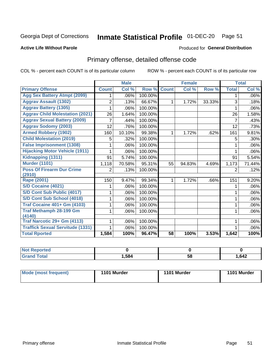## Inmate Statistical Profile 01-DEC-20 Page 51

#### **Active Life Without Parole**

#### Produced for General Distribution

## Primary offense, detailed offense code

COL % - percent each COUNT is of its particular column

|                                         |              | <b>Male</b>                |         |              | <b>Female</b> |        |                | <b>Total</b> |
|-----------------------------------------|--------------|----------------------------|---------|--------------|---------------|--------|----------------|--------------|
| <b>Primary Offense</b>                  | <b>Count</b> | $\overline{\text{Col }^9}$ | Row %   | <b>Count</b> | Col %         | Row %  | <b>Total</b>   | Col %        |
| <b>Agg Sex Battery Atmpt (2099)</b>     |              | .06%                       | 100.00% |              |               |        | 1              | .06%         |
| <b>Aggrav Assault (1302)</b>            | 2            | .13%                       | 66.67%  | 1            | 1.72%         | 33.33% | 3              | .18%         |
| <b>Aggrav Battery (1305)</b>            |              | .06%                       | 100.00% |              |               |        |                | .06%         |
| <b>Aggrav Child Molestation (2021)</b>  | 26           | 1.64%                      | 100.00% |              |               |        | 26             | 1.58%        |
| <b>Aggrav Sexual Battery (2009)</b>     |              | .44%                       | 100.00% |              |               |        | $\overline{7}$ | .43%         |
| <b>Aggrav Sodomy (2003)</b>             | 12           | .76%                       | 100.00% |              |               |        | 12             | .73%         |
| <b>Armed Robbery (1902)</b>             | 160          | 10.10%                     | 99.38%  | 1            | 1.72%         | .62%   | 161            | 9.81%        |
| <b>Child Molestation (2019)</b>         | 5            | .32%                       | 100.00% |              |               |        | 5              | .30%         |
| <b>False Imprisonment (1308)</b>        |              | .06%                       | 100.00% |              |               |        |                | .06%         |
| <b>Hijacking Motor Vehicle (1911)</b>   |              | .06%                       | 100.00% |              |               |        |                | .06%         |
| Kidnapping (1311)                       | 91           | 5.74%                      | 100.00% |              |               |        | 91             | 5.54%        |
| <b>Murder (1101)</b>                    | 1,118        | 70.58%                     | 95.31%  | 55           | 94.83%        | 4.69%  | 1,173          | 71.44%       |
| <b>Poss Of Firearm Dur Crime</b>        | 2            | .13%                       | 100.00% |              |               |        | 2              | .12%         |
| (2910)                                  |              |                            |         |              |               |        |                |              |
| Rape (2001)                             | 150          | 9.47%                      | 99.34%  |              | 1.72%         | .66%   | 151            | 9.20%        |
| S/D Cocaine (4021)                      |              | .06%                       | 100.00% |              |               |        |                | .06%         |
| S/D Cont Sub Public (4017)              |              | .06%                       | 100.00% |              |               |        |                | .06%         |
| S/D Cont Sub School (4018)              |              | .06%                       | 100.00% |              |               |        | 1              | .06%         |
| <b>Traf Cocaine 401+ Gm (4103)</b>      |              | .06%                       | 100.00% |              |               |        | 1              | .06%         |
| <b>Traf Methamph 28-199 Gm</b>          |              | .06%                       | 100.00% |              |               |        | 1              | .06%         |
| (4140)                                  |              |                            |         |              |               |        |                |              |
| Traf Narcotic 29+ Gm (4113)             |              | .06%                       | 100.00% |              |               |        |                | .06%         |
| <b>Traffick Sexual Servitude (1331)</b> |              | .06%                       | 100.00% |              |               |        |                | .06%         |
| <b>Total Rported</b>                    | 1,584        | 100%                       | 96.47%  | 58           | 100%          | 3.53%  | 1,642          | 100%         |

| <b>ported?</b> |      |    |        |
|----------------|------|----|--------|
| <b>Total</b>   | ,584 | 58 | 642. ا |

| Mode (most frequent) | 1101 Murder | 1101 Murder | 1101 Murder |
|----------------------|-------------|-------------|-------------|
|----------------------|-------------|-------------|-------------|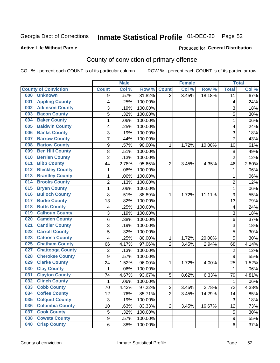## Inmate Statistical Profile 01-DEC-20 Page 52

#### **Active Life Without Parole**

#### **Produced for General Distribution**

## County of conviction of primary offense

COL % - percent each COUNT is of its particular column

|                                |                  | <b>Male</b> |         |                | <b>Female</b> |        |                | <b>Total</b> |
|--------------------------------|------------------|-------------|---------|----------------|---------------|--------|----------------|--------------|
| <b>County of Conviction</b>    | <b>Count</b>     | Col %       | Row %   | <b>Count</b>   | Col %         | Row %  | <b>Total</b>   | Col %        |
| 000<br><b>Unknown</b>          | 9                | .57%        | 81.82%  | $\overline{2}$ | 3.45%         | 18.18% | 11             | .67%         |
| <b>Appling County</b><br>001   | 4                | .25%        | 100.00% |                |               |        | 4              | .24%         |
| <b>Atkinson County</b><br>002  | 3                | .19%        | 100.00% |                |               |        | 3              | .18%         |
| <b>Bacon County</b><br>003     | 5                | .32%        | 100.00% |                |               |        | 5              | .30%         |
| <b>Baker County</b><br>004     | $\mathbf{1}$     | .06%        | 100.00% |                |               |        | $\mathbf{1}$   | .06%         |
| <b>Baldwin County</b><br>005   | 4                | .25%        | 100.00% |                |               |        | 4              | .24%         |
| <b>Banks County</b><br>006     | 3                | .19%        | 100.00% |                |               |        | 3              | .18%         |
| <b>Barrow County</b><br>007    | $\overline{7}$   | .44%        | 100.00% |                |               |        | $\overline{7}$ | .43%         |
| <b>Bartow County</b><br>008    | $\boldsymbol{9}$ | .57%        | 90.00%  | 1              | 1.72%         | 10.00% | 10             | .61%         |
| <b>Ben Hill County</b><br>009  | 8                | .51%        | 100.00% |                |               |        | 8              | .49%         |
| <b>Berrien County</b><br>010   | $\overline{2}$   | .13%        | 100.00% |                |               |        | $\overline{2}$ | .12%         |
| <b>Bibb County</b><br>011      | 44               | 2.78%       | 95.65%  | $\overline{2}$ | 3.45%         | 4.35%  | 46             | 2.80%        |
| <b>Bleckley County</b><br>012  | 1                | .06%        | 100.00% |                |               |        | 1              | .06%         |
| <b>Brantley County</b><br>013  | $\mathbf{1}$     | .06%        | 100.00% |                |               |        | $\mathbf{1}$   | .06%         |
| <b>Brooks County</b><br>014    | $\overline{2}$   | .13%        | 100.00% |                |               |        | $\overline{2}$ | .12%         |
| <b>Bryan County</b><br>015     | $\mathbf{1}$     | .06%        | 100.00% |                |               |        | $\mathbf{1}$   | .06%         |
| <b>Bulloch County</b><br>016   | 8                | .51%        | 88.89%  | 1              | 1.72%         | 11.11% | 9              | .55%         |
| <b>Burke County</b><br>017     | 13               | .82%        | 100.00% |                |               |        | 13             | .79%         |
| <b>Butts County</b><br>018     | 4                | .25%        | 100.00% |                |               |        | 4              | .24%         |
| <b>Calhoun County</b><br>019   | 3                | .19%        | 100.00% |                |               |        | $\sqrt{3}$     | .18%         |
| <b>Camden County</b><br>020    | 6                | .38%        | 100.00% |                |               |        | 6              | .37%         |
| <b>Candler County</b><br>021   | 3                | .19%        | 100.00% |                |               |        | 3              | .18%         |
| <b>Carroll County</b><br>022   | 5                | .32%        | 100.00% |                |               |        | 5              | .30%         |
| <b>Catoosa County</b><br>023   | 4                | .25%        | 80.00%  | 1              | 1.72%         | 20.00% | 5              | .30%         |
| <b>Chatham County</b><br>025   | 66               | 4.17%       | 97.06%  | $\overline{2}$ | 3.45%         | 2.94%  | 68             | 4.14%        |
| <b>Chattooga County</b><br>027 | $\overline{2}$   | .13%        | 100.00% |                |               |        | $\overline{2}$ | .12%         |
| <b>Cherokee County</b><br>028  | $\boldsymbol{9}$ | .57%        | 100.00% |                |               |        | 9              | .55%         |
| <b>Clarke County</b><br>029    | 24               | 1.52%       | 96.00%  | 1              | 1.72%         | 4.00%  | 25             | 1.52%        |
| <b>Clay County</b><br>030      | $\mathbf{1}$     | .06%        | 100.00% |                |               |        | $\mathbf{1}$   | .06%         |
| <b>Clayton County</b><br>031   | 74               | 4.67%       | 93.67%  | 5              | 8.62%         | 6.33%  | 79             | 4.81%        |
| <b>Clinch County</b><br>032    | 1                | .06%        | 100.00% |                |               |        | 1              | .06%         |
| <b>Cobb County</b><br>033      | 70               | 4.42%       | 97.22%  | 2              | 3.45%         | 2.78%  | 72             | 4.38%        |
| <b>Coffee County</b><br>034    | 12               | .76%        | 85.71%  | $\overline{2}$ | 3.45%         | 14.29% | 14             | .85%         |
| 035<br><b>Colquitt County</b>  | $\sqrt{3}$       | .19%        | 100.00% |                |               |        | $\sqrt{3}$     | .18%         |
| <b>Columbia County</b><br>036  | 10               | .63%        | 83.33%  | $\overline{2}$ | 3.45%         | 16.67% | 12             | .73%         |
| <b>Cook County</b><br>037      | 5                | .32%        | 100.00% |                |               |        | 5              | .30%         |
| <b>Coweta County</b><br>038    | $\boldsymbol{9}$ | .57%        | 100.00% |                |               |        | 9              | .55%         |
| <b>Crisp County</b><br>040     | 6                | .38%        | 100.00% |                |               |        | 6              | .37%         |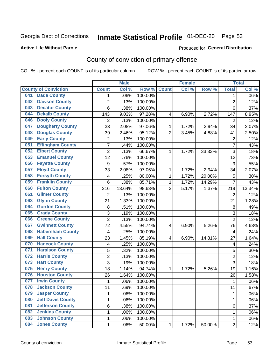## Inmate Statistical Profile 01-DEC-20 Page 53

#### **Active Life Without Parole**

#### Produced for General Distribution

## County of conviction of primary offense

COL % - percent each COUNT is of its particular column

|     |                             |                  | <b>Male</b> |         |                | <b>Female</b> |        |                | <b>Total</b> |
|-----|-----------------------------|------------------|-------------|---------|----------------|---------------|--------|----------------|--------------|
|     | <b>County of Conviction</b> | <b>Count</b>     | Col %       | Row %   | <b>Count</b>   | Col %         | Row %  | <b>Total</b>   | Col %        |
| 041 | <b>Dade County</b>          | 1                | .06%        | 100.00% |                |               |        | 1              | $.06\%$      |
| 042 | <b>Dawson County</b>        | $\overline{2}$   | .13%        | 100.00% |                |               |        | $\overline{2}$ | .12%         |
| 043 | <b>Decatur County</b>       | 6                | .38%        | 100.00% |                |               |        | 6              | .37%         |
| 044 | <b>Dekalb County</b>        | 143              | 9.03%       | 97.28%  | 4              | 6.90%         | 2.72%  | 147            | 8.95%        |
| 046 | <b>Dooly County</b>         | $\overline{2}$   | .13%        | 100.00% |                |               |        | $\overline{2}$ | .12%         |
| 047 | <b>Dougherty County</b>     | 33               | 2.08%       | 97.06%  | 1              | 1.72%         | 2.94%  | 34             | 2.07%        |
| 048 | <b>Douglas County</b>       | 39               | 2.46%       | 95.12%  | $\overline{2}$ | 3.45%         | 4.88%  | 41             | 2.50%        |
| 049 | <b>Early County</b>         | $\mathbf 2$      | .13%        | 100.00% |                |               |        | $\overline{2}$ | .12%         |
| 051 | <b>Effingham County</b>     | 7                | .44%        | 100.00% |                |               |        | $\overline{7}$ | .43%         |
| 052 | <b>Elbert County</b>        | $\overline{2}$   | .13%        | 66.67%  | 1              | 1.72%         | 33.33% | 3              | .18%         |
| 053 | <b>Emanuel County</b>       | 12               | .76%        | 100.00% |                |               |        | 12             | .73%         |
| 056 | <b>Fayette County</b>       | $\boldsymbol{9}$ | .57%        | 100.00% |                |               |        | 9              | .55%         |
| 057 | <b>Floyd County</b>         | 33               | 2.08%       | 97.06%  | $\mathbf{1}$   | 1.72%         | 2.94%  | 34             | 2.07%        |
| 058 | <b>Forsyth County</b>       | 4                | .25%        | 80.00%  | 1              | 1.72%         | 20.00% | 5              | .30%         |
| 059 | <b>Franklin County</b>      | 6                | .38%        | 85.71%  | 1              | 1.72%         | 14.29% | $\overline{7}$ | .43%         |
| 060 | <b>Fulton County</b>        | 216              | 13.64%      | 98.63%  | 3              | 5.17%         | 1.37%  | 219            | 13.34%       |
| 061 | <b>Gilmer County</b>        | $\overline{2}$   | .13%        | 100.00% |                |               |        | $\overline{2}$ | .12%         |
| 063 | <b>Glynn County</b>         | 21               | 1.33%       | 100.00% |                |               |        | 21             | 1.28%        |
| 064 | <b>Gordon County</b>        | 8                | .51%        | 100.00% |                |               |        | 8              | .49%         |
| 065 | <b>Grady County</b>         | 3                | .19%        | 100.00% |                |               |        | 3              | .18%         |
| 066 | <b>Greene County</b>        | $\overline{2}$   | .13%        | 100.00% |                |               |        | $\overline{2}$ | .12%         |
| 067 | <b>Gwinnett County</b>      | 72               | 4.55%       | 94.74%  | 4              | 6.90%         | 5.26%  | 76             | 4.63%        |
| 068 | <b>Habersham County</b>     | $\overline{4}$   | .25%        | 100.00% |                |               |        | 4              | .24%         |
| 069 | <b>Hall County</b>          | 23               | 1.45%       | 85.19%  | 4              | 6.90%         | 14.81% | 27             | 1.64%        |
| 070 | <b>Hancock County</b>       | 4                | .25%        | 100.00% |                |               |        | 4              | .24%         |
| 071 | <b>Haralson County</b>      | 5                | .32%        | 100.00% |                |               |        | 5              | .30%         |
| 072 | <b>Harris County</b>        | $\overline{c}$   | .13%        | 100.00% |                |               |        | $\overline{2}$ | .12%         |
| 073 | <b>Hart County</b>          | 3                | .19%        | 100.00% |                |               |        | $\overline{3}$ | .18%         |
| 075 | <b>Henry County</b>         | 18               | 1.14%       | 94.74%  | $\mathbf{1}$   | 1.72%         | 5.26%  | 19             | 1.16%        |
| 076 | <b>Houston County</b>       | 26               | 1.64%       | 100.00% |                |               |        | 26             | 1.58%        |
| 077 | <b>Irwin County</b>         | $\mathbf{1}$     | .06%        | 100.00% |                |               |        | 1              | .06%         |
| 078 | <b>Jackson County</b>       | 11               | .69%        | 100.00% |                |               |        | 11             | $.67\%$      |
| 079 | <b>Jasper County</b>        | $\mathbf{1}$     | .06%        | 100.00% |                |               |        | $\mathbf{1}$   | .06%         |
| 080 | <b>Jeff Davis County</b>    | 1                | .06%        | 100.00% |                |               |        | $\mathbf{1}$   | .06%         |
| 081 | <b>Jefferson County</b>     | 6                | .38%        | 100.00% |                |               |        | 6              | .37%         |
| 082 | <b>Jenkins County</b>       | 1                | .06%        | 100.00% |                |               |        | 1              | .06%         |
| 083 | <b>Johnson County</b>       | $\mathbf 1$      | .06%        | 100.00% |                |               |        | 1              | .06%         |
| 084 | <b>Jones County</b>         | $\mathbf 1$      | .06%        | 50.00%  | 1              | 1.72%         | 50.00% | $\overline{2}$ | .12%         |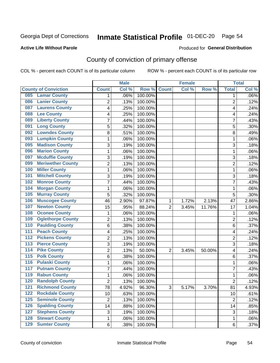## Inmate Statistical Profile 01-DEC-20 Page 54

#### **Active Life Without Parole**

#### Produced for General Distribution

## County of conviction of primary offense

COL % - percent each COUNT is of its particular column

|                                        |                 | <b>Male</b> |         |                | <b>Female</b> |        |                 | <b>Total</b> |
|----------------------------------------|-----------------|-------------|---------|----------------|---------------|--------|-----------------|--------------|
| <b>County of Conviction</b>            | <b>Count</b>    | Col %       | Row %   | <b>Count</b>   | Col %         | Row %  | <b>Total</b>    | Col %        |
| <b>Lamar County</b><br>085             | 1               | .06%        | 100.00% |                |               |        | 1               | $.06\%$      |
| <b>Lanier County</b><br>086            | $\overline{2}$  | .13%        | 100.00% |                |               |        | $\overline{2}$  | .12%         |
| <b>Laurens County</b><br>087           | 4               | .25%        | 100.00% |                |               |        | 4               | .24%         |
| <b>Lee County</b><br>088               | 4               | .25%        | 100.00% |                |               |        | 4               | .24%         |
| <b>Liberty County</b><br>089           | 7               | .44%        | 100.00% |                |               |        | 7               | .43%         |
| <b>Long County</b><br>091              | 5               | .32%        | 100.00% |                |               |        | 5               | .30%         |
| <b>Lowndes County</b><br>092           | 8               | .51%        | 100.00% |                |               |        | 8               | .49%         |
| <b>Lumpkin County</b><br>093           | 1               | .06%        | 100.00% |                |               |        | 1               | .06%         |
| <b>Madison County</b><br>095           | 3               | .19%        | 100.00% |                |               |        | 3               | .18%         |
| <b>Marion County</b><br>096            | 1               | .06%        | 100.00% |                |               |        | 1               | .06%         |
| <b>Mcduffie County</b><br>097          | 3               | .19%        | 100.00% |                |               |        | 3               | .18%         |
| <b>Meriwether County</b><br>099        | $\overline{2}$  | .13%        | 100.00% |                |               |        | $\overline{c}$  | .12%         |
| <b>Miller County</b><br>100            | 1               | .06%        | 100.00% |                |               |        | 1               | .06%         |
| <b>Mitchell County</b><br>101          | 3               | .19%        | 100.00% |                |               |        | 3               | .18%         |
| <b>Monroe County</b><br>102            | 7               | .44%        | 100.00% |                |               |        | $\overline{7}$  | .43%         |
| <b>Morgan County</b><br>104            | 1               | .06%        | 100.00% |                |               |        | 1               | .06%         |
| <b>Murray County</b><br>105            | 5               | .32%        | 100.00% |                |               |        | 5               | .30%         |
| <b>Muscogee County</b><br>106          | 46              | 2.90%       | 97.87%  | 1              | 1.72%         | 2.13%  | 47              | 2.86%        |
| <b>Newton County</b><br>107            | 15              | .95%        | 88.24%  | $\overline{2}$ | 3.45%         | 11.76% | 17              | 1.04%        |
| <b>Oconee County</b><br>108            | 1               | .06%        | 100.00% |                |               |        | 1               | .06%         |
| <b>Oglethorpe County</b><br>109        | 2               | .13%        | 100.00% |                |               |        | 2               | .12%         |
| <b>Paulding County</b><br>110          | 6               | .38%        | 100.00% |                |               |        | 6               | .37%         |
| <b>Peach County</b><br>111             | 4               | .25%        | 100.00% |                |               |        | 4               | .24%         |
| <b>Pickens County</b><br>112           | $\overline{2}$  | .13%        | 100.00% |                |               |        | $\overline{2}$  | .12%         |
| <b>Pierce County</b><br>113            | 3               | .19%        | 100.00% |                |               |        | 3               | .18%         |
| <b>Pike County</b><br>$\overline{114}$ | $\overline{2}$  | .13%        | 50.00%  | $\overline{2}$ | 3.45%         | 50.00% | 4               | .24%         |
| <b>Polk County</b><br>$\overline{115}$ | 6               | .38%        | 100.00% |                |               |        | 6               | .37%         |
| <b>Pulaski County</b><br>116           | 1               | .06%        | 100.00% |                |               |        | 1               | .06%         |
| <b>Putnam County</b><br>117            | 7               | .44%        | 100.00% |                |               |        | 7               | .43%         |
| <b>Rabun County</b><br>119             | 1               | .06%        | 100.00% |                |               |        | 1               | .06%         |
| <b>Randolph County</b><br>120          | 2               | .13%        | 100.00% |                |               |        | 2               | .12%         |
| <b>121 Richmond County</b>             | $\overline{78}$ | 4.92%       | 96.30%  | 3              | 5.17%         | 3.70%  | $\overline{81}$ | 4.93%        |
| <b>Rockdale County</b><br>122          | 10              | .63%        | 100.00% |                |               |        | 10              | .61%         |
| $125$<br><b>Seminole County</b>        | $\overline{2}$  | .13%        | 100.00% |                |               |        | $\overline{2}$  | .12%         |
| <b>Spalding County</b><br>126          | 14              | .88%        | 100.00% |                |               |        | 14              | .85%         |
| <b>Stephens County</b><br>127          | 3               | .19%        | 100.00% |                |               |        | 3               | .18%         |
| <b>Stewart County</b><br>128           | 1               | .06%        | 100.00% |                |               |        | 1               | .06%         |
| <b>Sumter County</b><br>129            | 6               | .38%        | 100.00% |                |               |        | 6               | .37%         |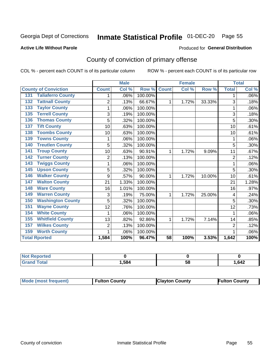## Inmate Statistical Profile 01-DEC-20 Page 55

#### **Active Life Without Parole**

#### Produced for General Distribution

## County of conviction of primary offense

COL % - percent each COUNT is of its particular column

|                                 |                | <b>Male</b> |         |              | <b>Female</b> |        | <b>Total</b>   |       |
|---------------------------------|----------------|-------------|---------|--------------|---------------|--------|----------------|-------|
| <b>County of Conviction</b>     | <b>Count</b>   | Col %       | Row %   | <b>Count</b> | Col %         | Row %  | <b>Total</b>   | Col % |
| <b>Taliaferro County</b><br>131 |                | .06%        | 100.00% |              |               |        | 1              | .06%  |
| <b>Tattnall County</b><br>132   | $\overline{2}$ | .13%        | 66.67%  | 1            | 1.72%         | 33.33% | 3              | .18%  |
| <b>Taylor County</b><br>133     | 1              | .06%        | 100.00% |              |               |        | 1              | .06%  |
| <b>Terrell County</b><br>135    | 3              | .19%        | 100.00% |              |               |        | 3              | .18%  |
| <b>Thomas County</b><br>136     | 5              | .32%        | 100.00% |              |               |        | 5              | .30%  |
| <b>Tift County</b><br>137       | 10             | .63%        | 100.00% |              |               |        | 10             | .61%  |
| <b>Toombs County</b><br>138     | 10             | .63%        | 100.00% |              |               |        | 10             | .61%  |
| <b>Towns County</b><br>139      | 1              | .06%        | 100.00% |              |               |        | 1              | .06%  |
| <b>Treutlen County</b><br>140   | 5              | .32%        | 100.00% |              |               |        | 5              | .30%  |
| <b>Troup County</b><br>141      | 10             | .63%        | 90.91%  | 1            | 1.72%         | 9.09%  | 11             | .67%  |
| <b>Turner County</b><br>142     | $\overline{2}$ | .13%        | 100.00% |              |               |        | $\overline{2}$ | .12%  |
| <b>Twiggs County</b><br>143     | 1              | .06%        | 100.00% |              |               |        | 1              | .06%  |
| <b>Upson County</b><br>145      | 5              | .32%        | 100.00% |              |               |        | 5              | .30%  |
| <b>Walker County</b><br>146     | 9              | .57%        | 90.00%  | 1            | 1.72%         | 10.00% | 10             | .61%  |
| <b>Walton County</b><br>147     | 21             | 1.33%       | 100.00% |              |               |        | 21             | 1.28% |
| <b>Ware County</b><br>148       | 16             | 1.01%       | 100.00% |              |               |        | 16             | .97%  |
| <b>Warren County</b><br>149     | 3              | .19%        | 75.00%  | 1            | 1.72%         | 25.00% | 4              | .24%  |
| <b>Washington County</b><br>150 | 5              | .32%        | 100.00% |              |               |        | 5              | .30%  |
| <b>Wayne County</b><br>151      | 12             | .76%        | 100.00% |              |               |        | 12             | .73%  |
| <b>White County</b><br>154      | 1              | .06%        | 100.00% |              |               |        | 1              | .06%  |
| <b>Whitfield County</b><br>155  | 13             | .82%        | 92.86%  | 1            | 1.72%         | 7.14%  | 14             | .85%  |
| <b>Wilkes County</b><br>157     | $\overline{2}$ | .13%        | 100.00% |              |               |        | $\overline{2}$ | .12%  |
| <b>Worth County</b><br>159      | 1              | .06%        | 100.00% |              |               |        |                | .06%  |
| <b>Total Rported</b>            | 1,584          | 100%        | 96.47%  | 58           | 100%          | 3.53%  | 1,642          | 100%  |

| rtea        |      |   |      |
|-------------|------|---|------|
| $6 - 6 - 7$ | .584 | u | ,642 |

| <b>Mode (most frequent)</b> | <b>Fulton County</b> | <b>Clayton County</b> | <b>Fulton County</b> |
|-----------------------------|----------------------|-----------------------|----------------------|
|-----------------------------|----------------------|-----------------------|----------------------|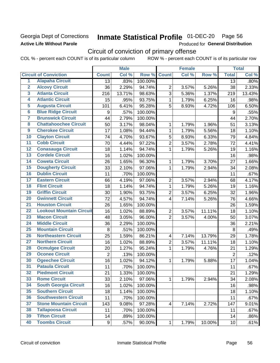### Georgia Dept of Corrections **Active Life Without Parole**

## Inmate Statistical Profile 01-DEC-20 Page 56

Produced for General Distribution

## Circuit of conviction of primary offense

COL % - percent each COUNT is of its particular column ROW % - percent each COUNT is of its particular row

|                         |                                 |                | <b>Male</b> |         |                | <b>Female</b> |        |                 | <b>Total</b> |
|-------------------------|---------------------------------|----------------|-------------|---------|----------------|---------------|--------|-----------------|--------------|
|                         | <b>Circuit of Conviction</b>    | <b>Count</b>   | Col %       | Row %   | <b>Count</b>   | Col %         | Row %  | <b>Total</b>    | Col %        |
| 1                       | <b>Alapaha Circuit</b>          | 13             | .83%        | 100.00% |                |               |        | 13              | .80%         |
| $\overline{2}$          | <b>Alcovy Circuit</b>           | 36             | 2.29%       | 94.74%  | $\overline{2}$ | 3.57%         | 5.26%  | 38              | 2.33%        |
| $\overline{\mathbf{3}}$ | <b>Atlanta Circuit</b>          | 216            | 13.71%      | 98.63%  | 3              | 5.36%         | 1.37%  | 219             | 13.43%       |
| 4                       | <b>Atlantic Circuit</b>         | 15             | .95%        | 93.75%  | $\mathbf{1}$   | 1.79%         | 6.25%  | 16              | .98%         |
| $\overline{5}$          | <b>Augusta Circuit</b>          | 101            | 6.41%       | 95.28%  | 5              | 8.93%         | 4.72%  | 106             | 6.50%        |
| $\overline{6}$          | <b>Blue Ridge Circuit</b>       | 9              | .57%        | 100.00% |                |               |        | 9               | .55%         |
| 7                       | <b>Brunswick Circuit</b>        | 44             | 2.79%       | 100.00% |                |               |        | 44              | 2.70%        |
| 8                       | <b>Chattahoochee Circuit</b>    | 50             | 3.17%       | 98.04%  | 1              | 1.79%         | 1.96%  | 51              | 3.13%        |
| $\overline{9}$          | <b>Cherokee Circuit</b>         | 17             | 1.08%       | 94.44%  | 1              | 1.79%         | 5.56%  | 18              | 1.10%        |
| 10                      | <b>Clayton Circuit</b>          | 74             | 4.70%       | 93.67%  | 5              | 8.93%         | 6.33%  | 79              | 4.84%        |
| $\overline{11}$         | <b>Cobb Circuit</b>             | 70             | 4.44%       | 97.22%  | $\overline{2}$ | 3.57%         | 2.78%  | 72              | 4.41%        |
| $\overline{12}$         | <b>Conasauga Circuit</b>        | 18             | 1.14%       | 94.74%  | $\mathbf{1}$   | 1.79%         | 5.26%  | 19              | 1.16%        |
| $\overline{13}$         | <b>Cordele Circuit</b>          | 16             | 1.02%       | 100.00% |                |               |        | 16              | .98%         |
| $\overline{14}$         | <b>Coweta Circuit</b>           | 26             | 1.65%       | 96.30%  | $\mathbf{1}$   | 1.79%         | 3.70%  | 27              | 1.66%        |
| $\overline{15}$         | <b>Dougherty Circuit</b>        | 33             | 2.10%       | 97.06%  | $\mathbf{1}$   | 1.79%         | 2.94%  | 34              | 2.08%        |
| 16                      | <b>Dublin Circuit</b>           | 11             | .70%        | 100.00% |                |               |        | 11              | .67%         |
| $\overline{17}$         | <b>Eastern Circuit</b>          | 66             | 4.19%       | 97.06%  | $\overline{2}$ | 3.57%         | 2.94%  | 68              | 4.17%        |
| $\overline{18}$         | <b>Flint Circuit</b>            | 18             | 1.14%       | 94.74%  | $\mathbf{1}$   | 1.79%         | 5.26%  | 19              | 1.16%        |
| 19                      | <b>Griffin Circuit</b>          | 30             | 1.90%       | 93.75%  | $\overline{2}$ | 3.57%         | 6.25%  | 32              | 1.96%        |
| 20                      | <b>Gwinnett Circuit</b>         | 72             | 4.57%       | 94.74%  | $\overline{4}$ | 7.14%         | 5.26%  | 76              | 4.66%        |
| $\overline{21}$         | <b>Houston Circuit</b>          | 26             | 1.65%       | 100.00% |                |               |        | 26              | 1.59%        |
| $\overline{22}$         | <b>Lookout Mountain Circuit</b> | 16             | 1.02%       | 88.89%  | $\overline{2}$ | 3.57%         | 11.11% | 18              | 1.10%        |
| 23                      | <b>Macon Circuit</b>            | 48             | 3.05%       | 96.00%  | $\overline{2}$ | 3.57%         | 4.00%  | 50              | 3.07%        |
| 24                      | <b>Middle Circuit</b>           | 36             | 2.29%       | 100.00% |                |               |        | 36              | 2.21%        |
| $\overline{25}$         | <b>Mountain Circuit</b>         | 8              | .51%        | 100.00% |                |               |        | 8               | .49%         |
| 26                      | <b>Northeastern Circuit</b>     | 25             | 1.59%       | 86.21%  | $\overline{4}$ | 7.14%         | 13.79% | 29              | 1.78%        |
| $\overline{27}$         | <b>Northern Circuit</b>         | 16             | 1.02%       | 88.89%  | $\overline{2}$ | 3.57%         | 11.11% | 18              | 1.10%        |
| 28                      | <b>Ocmulgee Circuit</b>         | 20             | 1.27%       | 95.24%  | $\mathbf{1}$   | 1.79%         | 4.76%  | 21              | 1.29%        |
| 29                      | <b>Oconee Circuit</b>           | $\overline{2}$ | .13%        | 100.00% |                |               |        | $\overline{2}$  | .12%         |
| 30                      | <b>Ogeechee Circuit</b>         | 16             | 1.02%       | 94.12%  | $\mathbf{1}$   | 1.79%         | 5.88%  | 17              | 1.04%        |
| $\overline{31}$         | <b>Pataula Circuit</b>          | 11             | .70%        | 100.00% |                |               |        | 11              | .67%         |
| 32                      | <b>Piedmont Circuit</b>         | 21             | 1.33%       | 100.00% |                |               |        | 21              | 1.29%        |
| 33                      | <b>Rome Circuit</b>             | 33             | 2.10%       | 97.06%  | $\mathbf 1$    | 1.79%         | 2.94%  | 34              | 2.08%        |
| 34                      | <b>South Georgia Circuit</b>    | 16             | 1.02%       | 100.00% |                |               |        | 16              | .98%         |
| 35                      | <b>Southern Circuit</b>         | 18             | 1.14%       | 100.00% |                |               |        | 18              | 1.10%        |
| 36                      | <b>Southwestern Circuit</b>     | 11             | .70%        | 100.00% |                |               |        | 11              | .67%         |
| 37                      | <b>Stone Mountain Circuit</b>   | 143            | 9.08%       | 97.28%  | 4              | 7.14%         | 2.72%  | 147             | 9.01%        |
| 38                      | <b>Tallapoosa Circuit</b>       | 11             | .70%        | 100.00% |                |               |        | 11              | .67%         |
| 39                      | <b>Tifton Circuit</b>           | 14             | .89%        | 100.00% |                |               |        | 14              | .86%         |
| 40                      | <b>Toombs Circuit</b>           | 9              | .57%        | 90.00%  | $\mathbf{1}$   | 1.79%         | 10.00% | 10 <sup>1</sup> | .61%         |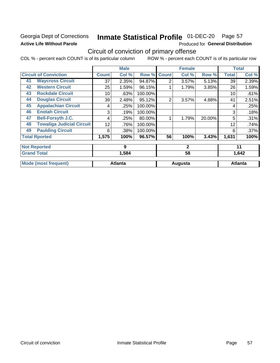### Georgia Dept of Corrections **Active Life Without Parole**

## Inmate Statistical Profile 01-DEC-20 Page 57

Produced for General Distribution

## Circuit of conviction of primary offense

COL % - percent each COUNT is of its particular column ROW % - percent each COUNT is of its particular row

|    |                                  |              | <b>Male</b>    |         |                | <b>Female</b> |        |              | <b>Total</b>   |
|----|----------------------------------|--------------|----------------|---------|----------------|---------------|--------|--------------|----------------|
|    | <b>Circuit of Conviction</b>     | <b>Count</b> | Col %          | Row %   | <b>Count</b>   | Col %         | Row %  | <b>Total</b> | Col %          |
| 41 | <b>Waycross Circuit</b>          | 37           | 2.35%          | 94.87%  | $\overline{2}$ | 3.57%         | 5.13%  | 39           | 2.39%          |
| 42 | <b>Western Circuit</b>           | 25           | 1.59%          | 96.15%  |                | 1.79%         | 3.85%  | 26           | 1.59%          |
| 43 | <b>Rockdale Circuit</b>          | 10           | .63%           | 100.00% |                |               |        | 10           | .61%           |
| 44 | <b>Douglas Circuit</b>           | 39           | 2.48%          | 95.12%  | $\overline{2}$ | 3.57%         | 4.88%  | 41           | 2.51%          |
| 45 | <b>Appalachian Circuit</b>       | 4            | .25%           | 100.00% |                |               |        | 4            | .25%           |
| 46 | <b>Enotah Circuit</b>            | 3            | .19%           | 100.00% |                |               |        | 3            | .18%           |
| 47 | <b>Bell-Forsyth J.C.</b>         | 4            | .25%           | 80.00%  |                | 1.79%         | 20.00% | 5            | .31%           |
| 48 | <b>Towaliga Judicial Circuit</b> | 12           | .76%           | 100.00% |                |               |        | 12           | .74%           |
| 49 | <b>Paulding Circuit</b>          | 6            | .38%           | 100.00% |                |               |        | 6            | .37%           |
|    | <b>Total Rported</b>             | 1,575        | 100%           | 96.57%  | 56             | 100%          | 3.43%  | 1,631        | 100%           |
|    | <b>Not Reported</b>              |              | 9              |         |                | $\mathbf{2}$  |        |              | 11             |
|    | <b>Grand Total</b>               |              | 1,584          |         | 58             |               |        | 1,642        |                |
|    | <b>Mode (most frequent)</b>      |              | <b>Atlanta</b> |         |                | Augusta       |        |              | <b>Atlanta</b> |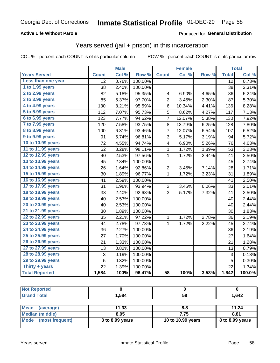#### **Active Life Without Parole**

#### Produced for General Distribution

## Years served (jail + prison) in this incarceration

COL % - percent each COUNT is of its particular column

|                        | <b>Male</b>     |       | <b>Female</b> |                 |        | <b>Total</b> |                 |        |
|------------------------|-----------------|-------|---------------|-----------------|--------|--------------|-----------------|--------|
| <b>Years Served</b>    | <b>Count</b>    | Col % | Row %         | <b>Count</b>    | Col %  | Row %        | <b>Total</b>    | Col %  |
| Less than one year     | $\overline{12}$ | 0.76% | 100.00%       |                 |        |              | $\overline{12}$ | 0.73%  |
| 1 to 1.99 years        | 38              | 2.40% | 100.00%       |                 |        |              | 38              | 2.31%  |
| 2 to 2.99 years        | 82              | 5.18% | 95.35%        | 4               | 6.90%  | 4.65%        | 86              | 5.24%  |
| 3 to 3.99 years        | 85              | 5.37% | 97.70%        | $\overline{c}$  | 3.45%  | 2.30%        | 87              | 5.30%  |
| 4 to 4.99 years        | 130             | 8.21% | 95.59%        | 6               | 10.34% | 4.41%        | 136             | 8.28%  |
| 5 to 5.99 years        | 112             | 7.07% | 95.73%        | 5               | 8.62%  | 4.27%        | 117             | 7.13%  |
| 6 to 6.99 years        | 123             | 7.77% | 94.62%        | 7               | 12.07% | 5.38%        | 130             | 7.92%  |
| 7 to 7.99 years        | 120             | 7.58% | 93.75%        | 8               | 13.79% | 6.25%        | 128             | 7.80%  |
| <b>8 to 8.99 years</b> | 100             | 6.31% | 93.46%        | 7               | 12.07% | 6.54%        | 107             | 6.52%  |
| 9 to 9.99 years        | 91              | 5.74% | 96.81%        | 3               | 5.17%  | 3.19%        | 94              | 5.72%  |
| 10 to 10.99 years      | 72              | 4.55% | 94.74%        | 4               | 6.90%  | 5.26%        | 76              | 4.63%  |
| 11 to 11.99 years      | 52              | 3.28% | 98.11%        | 1               | 1.72%  | 1.89%        | 53              | 3.23%  |
| 12 to 12.99 years      | 40              | 2.53% | 97.56%        | 1               | 1.72%  | 2.44%        | 41              | 2.50%  |
| 13 to 13.99 years      | 45              | 2.84% | 100.00%       |                 |        |              | 45              | 2.74%  |
| 14 to 14.99 years      | 26              | 1.64% | 92.86%        | $\overline{c}$  | 3.45%  | 7.14%        | 28              | 1.71%  |
| 15 to 15.99 years      | 30              | 1.89% | 96.77%        | $\mathbf 1$     | 1.72%  | 3.23%        | 31              | 1.89%  |
| 16 to 16.99 years      | 41              | 2.59% | 100.00%       |                 |        |              | 41              | 2.50%  |
| 17 to 17.99 years      | 31              | 1.96% | 93.94%        | $\overline{c}$  | 3.45%  | 6.06%        | 33              | 2.01%  |
| 18 to 18.99 years      | 38              | 2.40% | 92.68%        | 3               | 5.17%  | 7.32%        | 41              | 2.50%  |
| 19 to 19.99 years      | 40              | 2.53% | 100.00%       |                 |        |              | 40              | 2.44%  |
| 20 to 20.99 years      | 40              | 2.53% | 100.00%       |                 |        |              | 40              | 2.44%  |
| 21 to 21.99 years      | 30              | 1.89% | 100.00%       |                 |        |              | 30              | 1.83%  |
| 22 to 22.99 years      | 35              | 2.21% | 97.22%        | 1               | 1.72%  | 2.78%        | 36              | 2.19%  |
| 23 to 23.99 years      | 44              | 2.78% | 97.78%        | 1               | 1.72%  | 2.22%        | 45              | 2.74%  |
| 24 to 24.99 years      | 36              | 2.27% | 100.00%       |                 |        |              | 36              | 2.19%  |
| 25 to 25.99 years      | 27              | 1.70% | 100.00%       |                 |        |              | 27              | 1.64%  |
| 26 to 26.99 years      | $\overline{21}$ | 1.33% | 100.00%       |                 |        |              | 21              | 1.28%  |
| 27 to 27.99 years      | 13              | 0.82% | 100.00%       |                 |        |              | 13              | 0.79%  |
| 28 to 28.99 years      | 3               | 0.19% | 100.00%       |                 |        |              | 3               | 0.18%  |
| 29 to 29.99 years      | 5               | 0.32% | 100.00%       |                 |        |              | 5               | 0.30%  |
| Thirty + years         | 22              | 1.39% | 100.00%       |                 |        |              | 22              | 1.34%  |
| <b>Total Reported</b>  | 1,584           | 100%  | 96.47%        | $\overline{58}$ | 100%   | 3.53%        | 1,642           | 100.0% |

| <b>Not Reported</b>     |                 |                   |                 |
|-------------------------|-----------------|-------------------|-----------------|
| <b>Grand Total</b>      | 1,584           | 58                | 1,642           |
|                         |                 |                   |                 |
| Mean<br>(average)       | 11.33           | 8.8               | 11.24           |
| <b>Median (middle)</b>  | 8.95            | 7.75              | 8.81            |
| Mode<br>(most frequent) | 8 to 8.99 years | 10 to 10.99 years | 8 to 8.99 years |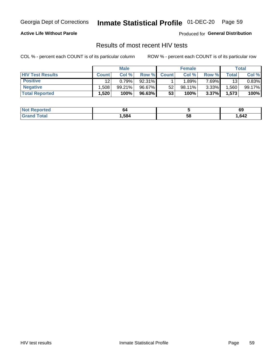## Inmate Statistical Profile 01-DEC-20 Page 59

#### **Active Life Without Parole**

Produced for General Distribution

### Results of most recent HIV tests

COL % - percent each COUNT is of its particular column

|                         | <b>Male</b>  |        |        | <b>Female</b> |           |          | Total   |        |
|-------------------------|--------------|--------|--------|---------------|-----------|----------|---------|--------|
| <b>HIV Test Results</b> | <b>Count</b> | Col %  | Row %I | <b>Count</b>  | Col %     | Row %    | Total . | Col %  |
| <b>Positive</b>         | 12           | 0.79%  | 92.31% |               | .89%      | 7.69%    | 13      | 0.83%  |
| <b>Negative</b>         | .508         | 99.21% | 96.67% | 52            | $98.11\%$ | $3.33\%$ | .560    | 99.17% |
| <b>Total Reported</b>   | .520         | 100%   | 96.63% | 53            | 100%      | 3.37%    | 1,573   | 100%   |

| <b>Not Reported</b>             | 64   |    | 69   |
|---------------------------------|------|----|------|
| <b>Total</b><br>G <sub>rx</sub> | .584 | 58 | .642 |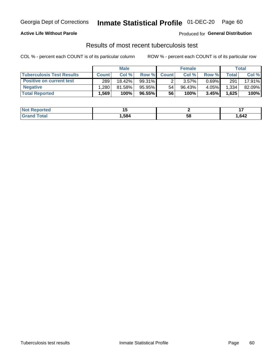## Georgia Dept of Corrections **Inmate Statistical Profile** 01-DEC-20 Page 60

#### **Active Life Without Parole**

Produced for **General Distribution**

## Results of most recent tuberculosis test

COL % - percent each COUNT is of its particular column ROW % - percent each COUNT is of its particular row

|                                  | <b>Male</b>  |        |           | <b>Female</b> |           |          | Total        |        |
|----------------------------------|--------------|--------|-----------|---------------|-----------|----------|--------------|--------|
| <b>Tuberculosis Test Results</b> | <b>Count</b> | Col %  | Row %I    | <b>Count</b>  | Col %     | Row %    | <b>Total</b> | Col %  |
| <b>Positive on current test</b>  | 289          | 18.42% | $99.31\%$ |               | 3.57%     | $0.69\%$ | 291          | 17.91% |
| <b>Negative</b>                  | .280         | 81.58% | $95.95\%$ | 54            | $96.43\%$ | 4.05%    | 1,334        | 82.09% |
| <b>Total Reported</b>            | .569         | 100%   | 96.55%    | 56            | 100%      | 3.45%    | 1,625        | 100%   |

| <b>Not Reported</b>  |      |    | . .   |
|----------------------|------|----|-------|
| Total<br><b>Grot</b> | .584 | Эō | 1,642 |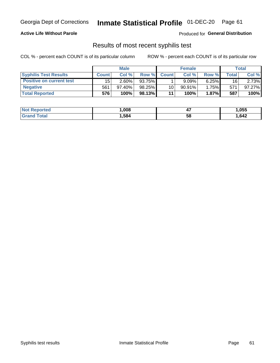## Georgia Dept of Corrections **Inmate Statistical Profile** 01-DEC-20 Page 61

#### **Active Life Without Parole**

Produced for **General Distribution**

### Results of most recent syphilis test

COL % - percent each COUNT is of its particular column ROW % - percent each COUNT is of its particular row

|                                 | <b>Male</b>  |           |        | <b>Female</b>   |           |              | Total |        |
|---------------------------------|--------------|-----------|--------|-----------------|-----------|--------------|-------|--------|
| <b>Syphilis Test Results</b>    | <b>Count</b> | Col%      | Row %  | <b>Count</b>    | Col %     | <b>Row %</b> | Total | Col %  |
| <b>Positive on current test</b> | 15           | 2.60%     | 93.75% |                 | 9.09%     | 6.25%        | 16    | 2.73%  |
| <b>Negative</b>                 | 561          | $97.40\%$ | 98.25% | 10 <sup>1</sup> | $90.91\%$ | 1.75%        | 571   | 97.27% |
| <b>Total Reported</b>           | 576          | 100%      | 98.13% | 11              | 100%      | $1.87\%$     | 587   | 100%   |

| <b>Not Reported</b> | 008, | . .<br>−. | ,055 |
|---------------------|------|-----------|------|
| <b>Total</b>        | ,584 | 58        | .642 |